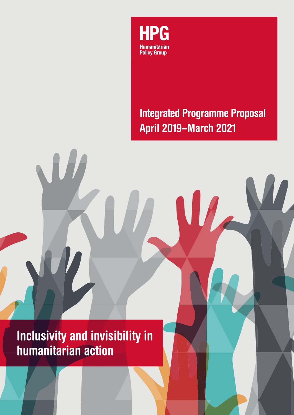

# Integrated Programme Proposal April 2019–March 2021

W

Inclusivity and invisibility in humanitarian action

 $\overline{\phantom{a}}$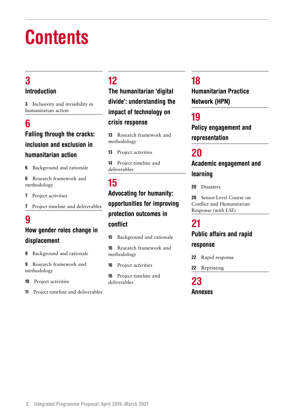# **Contents**

## [3](#page-2-0) [Introduction](#page-2-0)

3 [Inclusivity and invisibility in](#page-2-0)  [humanitarian action](#page-2-0)

# [6](#page-5-0)

## [Falling through the cracks:](#page-5-0)  [inclusion and exclusion in](#page-5-0)  [humanitarian action](#page-5-0)

- 6 [Background and rationale](#page-5-0)
- 6 [Research framework and](#page-5-0)  [methodology](#page-5-0)
- 7 [Project activities](#page-6-0)
- 7 [Project timeline and deliverables](#page-6-0)

## [9](#page-8-0) [How gender roles change in](#page-8-0)  [displacement](#page-8-0)

- 9 [Background and rationale](#page-8-0)
- 9 [Research framework and](#page-8-0)  [methodology](#page-8-0)
- 10 [Project activities](#page-9-0)
- 11 [Project timeline and deliverables](#page-10-0)

# [12](#page-11-0)

[The humanitarian 'digital](#page-11-0)  [divide': understanding the](#page-11-0)  [impact of technology on](#page-11-0)  [crisis response](#page-11-0)

13 [Research framework and](#page-12-0)  [methodology](#page-12-0)

13 [Project activities](#page-12-0)

14 [Project timeline and](#page-13-0)  [deliverables](#page-13-0)

# [15](#page-14-0)

# [Advocating for humanity:](#page-14-0)  [opportunities for improving](#page-14-0)  [protection outcomes in](#page-14-0)  [conflict](#page-14-0)

15 [Background and rationale](#page-14-0) 

16 [Research framework and](#page-15-0)  [methodology](#page-15-0)

16 [Project activities](#page-15-0)

16 [Project timeline and](#page-15-0)  [deliverables](#page-15-0) 

## [18](#page-17-0)

[Humanitarian Practice](#page-17-0)  [Network \(HPN\)](#page-17-0)

## [19](#page-18-0)

[Policy engagement and](#page-18-0)  [representation](#page-18-0)

# [20](#page-19-0)

[Academic engagement and](#page-19-0)  [learning](#page-19-0) 

20 [Disasters](#page-19-0)

20 Senior-Level Course on [Conflict and Humanitarian](#page-19-0)  [Response \(with LSE\)](#page-19-0) 

## [21](#page-20-0)

[Public affairs and rapid](#page-20-0) 

## [response](#page-20-0)

22 [Rapid response](#page-21-0)

22 [Reprinting](#page-21-0)

[23](#page-22-0) [Annexes](#page-22-0)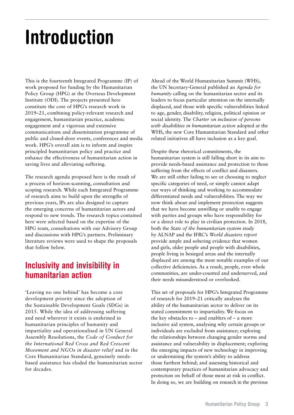# <span id="page-2-0"></span>Introduction

This is the fourteenth Integrated Programme (IP) of work proposed for funding by the Humanitarian Policy Group (HPG) at the Overseas Development Institute (ODI). The projects presented here constitute the core of HPG's research work in 2019–21, combining policy-relevant research and engagement, humanitarian practice, academic engagement and a vigorous and extensive communications and dissemination programme of public and closed-door events, conferences and media work. HPG's overall aim is to inform and inspire principled humanitarian policy and practice and enhance the effectiveness of humanitarian action in saving lives and alleviating suffering.

The research agenda proposed here is the result of a process of horizon-scanning, consultation and scoping research. While each Integrated Programme of research aims to build upon the strengths of previous years, IPs are also designed to capture the emerging concerns of humanitarian actors and respond to new trends. The research topics contained here were selected based on the expertise of the HPG team, consultations with our Advisory Group and discussions with HPG's partners. Preliminary literature reviews were used to shape the proposals that follow below.

## Inclusivity and invisibility in humanitarian action

'Leaving no one behind' has become a core development priority since the adoption of the Sustainable Development Goals (SDGs) in 2015. While the idea of addressing suffering and need wherever it exists is enshrined in humanitarian principles of humanity and impartiality and operationalised in UN General Assembly Resolutions, the *Code of Conduct for the International Red Cross and Red Crescent Movement and NGOs in disaster relief* and in the Core Humanitarian Standard, genuinely needsbased assistance has eluded the humanitarian sector for decades.

Ahead of the World Humanitarian Summit (WHS), the UN Secretary-General published an *Agenda for humanity* calling on the humanitarian sector and its leaders to focus particular attention on the internally displaced, and those with specific vulnerabilities linked to age, gender, disability, religion, political opinion or social identity. The *Charter on inclusion of persons with disabilities in humanitarian action* adopted at the WHS, the new Core Humanitarian Standard and other related initiatives all have inclusion as a key goal.

Despite these rhetorical commitments, the humanitarian system is still falling short in its aim to provide needs-based assistance and protection to those suffering from the effects of conflict and disasters. We are still either failing to see or choosing to neglect specific categories of need, or simply cannot adapt our ways of thinking and working to accommodate differentiated needs and vulnerabilities. The way we now think about and implement protection suggests that we have become unwilling or unable to engage with parties and groups who have responsibility for or a direct role to play in civilian protection. In 2018, both the *State of the humanitarian system* study by ALNAP and the IFRC's *World disasters report* provide ample and sobering evidence that women and girls, older people and people with disabilities, people living in besieged areas and the internally displaced are among the most notable examples of our collective deficiencies. As a result, people, even whole communities, are under-counted and underserved, and their needs misunderstood or overlooked.

This set of proposals for HPG's Integrated Programme of research for 2019–21 critically analyses the ability of the humanitarian sector to deliver on its stated commitment to impartiality. We focus on the key obstacles to – and enablers of – a more inclusive aid system, analysing why certain groups or individuals are excluded from assistance; exploring the relationships between changing gender norms and assistance and vulnerability in displacement; exploring the emerging impacts of new technology in improving or undermining the system's ability to address those furthest behind; and assessing historical and contemporary practices of humanitarian advocacy and protection on behalf of those most at risk in conflict. In doing so, we are building on research in the previous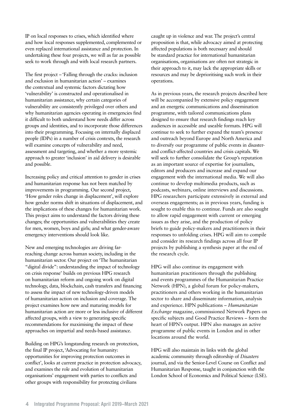IP on local responses to crises, which identified where and how local responses supplemented, complemented or even replaced international assistance and protection. In undertaking these four projects, we will as far as possible seek to work through and with local research partners.

The first project – 'Falling through the cracks: inclusion and exclusion in humanitarian action' – examines the contextual and systemic factors dictating how 'vulnerability' is constructed and operationalised in humanitarian assistance, why certain categories of vulnerability are consistently privileged over others and why humanitarian agencies operating in emergencies find it difficult to both understand how needs differ across groups and identities, and to incorporate those differences into their programming. Focusing on internally displaced people (IDPs) in a number of crisis contexts, the research will examine concepts of vulnerability and need, assessment and targeting, and whether a more systemic approach to greater 'inclusion' in aid delivery is desirable and possible.

Increasing policy and critical attention to gender in crises and humanitarian response has not been matched by improvements in programming. Our second project, 'How gender roles change in displacement', will explore how gender norms shift in situations of displacement, and the implications of these changes for humanitarian work. This project aims to understand the factors driving these changes; the opportunities and vulnerabilities they create for men, women, boys and girls; and what gender-aware emergency interventions should look like.

New and emerging technologies are driving farreaching change across human society, including in the humanitarian sector. Our project on 'The humanitarian "digital divide": understanding the impact of technology on crisis response' builds on previous HPG research on humanitarian reform and ongoing work on digital technology, data, blockchain, cash transfers and financing to assess the impact of new technology-driven models of humanitarian action on inclusion and coverage. The project examines how new and maturing models for humanitarian action are more or less inclusive of different affected groups, with a view to generating specific recommendations for maximising the impact of these approaches on impartial and needs-based assistance.

Building on HPG's longstanding research on protection, the final IP project, 'Advocating for humanity: opportunities for improving protection outcomes in conflict', looks at current practice in protection advocacy, and examines the role and evolution of humanitarian organisations' engagement with parties to conflicts and other groups with responsibility for protecting civilians

caught up in violence and war. The project's central proposition is that, while advocacy aimed at protecting affected populations is both necessary and should be standard practice for international humanitarian organisations, organisations are often not strategic in their approach to it, may lack the appropriate skills or resources and may be deprioritising such work in their operations.

As in previous years, the research projects described here will be accompanied by extensive policy engagement and an energetic communications and dissemination programme, with tailored communications plans designed to ensure that research findings reach key audiences in accessible and useable formats. HPG will continue to seek to further expand the team's presence and outreach beyond Europe and North America and to diversify our programme of public events in disasterand conflict-affected countries and crisis capitals. We will seek to further consolidate the Group's reputation as an important source of expertise for journalists, editors and producers and increase and expand our engagement with the international media. We will also continue to develop multimedia products, such as podcasts, webinars, online interviews and discussions. HPG researchers participate extensively in external and overseas engagements; as in previous years, funding is sought to enable this to continue. Funds are also sought to allow rapid engagement with current or emerging issues as they arise, and the production of policy briefs to guide policy-makers and practitioners in their responses to unfolding crises. HPG will aim to compile and consider its research findings across all four IP projects by publishing a synthesis paper at the end of the research cycle.

HPG will also continue its engagement with humanitarian practitioners through the publishing and events programmes of the Humanitarian Practice Network (HPN), a global forum for policy-makers, practitioners and others working in the humanitarian sector to share and disseminate information, analysis and experience. HPN publications – *Humanitarian Exchange* magazine, commissioned Network Papers on specific subjects and Good Practice Reviews – form the heart of HPN's output. HPN also manages an active programme of public events in London and in other locations around the world.

HPG will also maintain its links with the global academic community through editorship of *Disasters* journal, and via the Senior-Level Course on Conflict and Humanitarian Response, taught in conjunction with the London School of Economics and Political Science (LSE).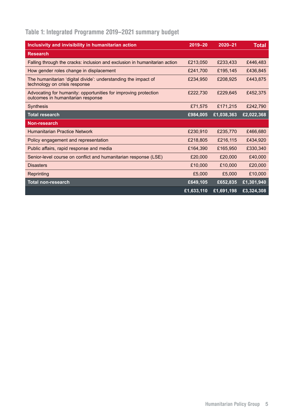# Table 1: Integrated Programme 2019–2021 summary budget

| Inclusivity and invisibility in humanitarian action                                                  | 2019-20    | $2020 - 21$ | <b>Total</b> |
|------------------------------------------------------------------------------------------------------|------------|-------------|--------------|
| <b>Research</b>                                                                                      |            |             |              |
| Falling through the cracks: inclusion and exclusion in humanitarian action                           | £213,050   | £233,433    | £446,483     |
| How gender roles change in displacement                                                              | £241,700   | £195,145    | £436,845     |
| The humanitarian 'digital divide': understanding the impact of<br>technology on crisis response      | £234,950   | £208,925    | £443,875     |
| Advocating for humanity: opportunities for improving protection<br>outcomes in humanitarian response | £222,730   | £229,645    | £452,375     |
| <b>Synthesis</b>                                                                                     | £71,575    | £171,215    | £242,790     |
| <b>Total research</b>                                                                                | £984,005   | £1,038,363  | £2,022,368   |
| Non-research                                                                                         |            |             |              |
| <b>Humanitarian Practice Network</b>                                                                 | £230,910   | £235,770    | £466,680     |
| Policy engagement and representation                                                                 | £218,805   | £216,115    | £434,920     |
| Public affairs, rapid response and media                                                             | £164,390   | £165,950    | £330,340     |
| Senior-level course on conflict and humanitarian response (LSE)                                      | £20,000    | £20,000     | £40,000      |
| <b>Disasters</b>                                                                                     | £10,000    | £10,000     | £20,000      |
| Reprinting                                                                                           | £5,000     | £5,000      | £10,000      |
| <b>Total non-research</b>                                                                            | £649,105   | £652,835    | £1,301,940   |
|                                                                                                      | £1,633,110 | £1,691,198  | £3,324,308   |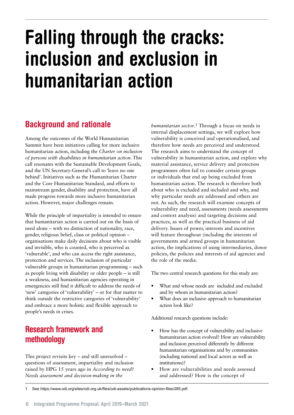# <span id="page-5-0"></span>Falling through the cracks: inclusion and exclusion in humanitarian action

# Background and rationale

Among the outcomes of the World Humanitarian Summit have been initiatives calling for more inclusive humanitarian action, including the *Charter on inclusion of persons with disabilities in humanitarian action*. This call resonates with the Sustainable Development Goals, and the UN Secretary-General's call to 'leave no one behind'. Initiatives such as the Humanitarian Charter and the Core Humanitarian Standard, and efforts to mainstream gender, disability and protection, have all made progress towards more inclusive humanitarian action. However, major challenges remain.

While the principle of impartiality is intended to ensure that humanitarian action is carried out on the basis of need alone – with no distinction of nationality, race, gender, religious belief, class or political opinion – organisations make daily decisions about who is visible and invisible, who is counted, who is perceived as 'vulnerable', and who can access the right assistance, protection and services. The inclusion of particular vulnerable groups in humanitarian programming – such as people living with disability or older people – is still a weakness, and humanitarian agencies operating in emergencies still find it difficult to address the needs of 'new' categories of 'vulnerability' – or for that matter to think outside the restrictive categories of 'vulnerability' and embrace a more holistic and flexible approach to people's needs in crises.

## Research framework and methodology

This project revisits key – and still unresolved – questions of assessment, impartiality and inclusion raised by HPG 15 years ago in *According to need? Needs assessment and decision-making in the* 

*humanitarian sector*. 1 Through a focus on needs in internal displacement settings, we will explore how vulnerability is conceived and operationalised, and therefore how needs are perceived and understood. The research aims to understand the concept of vulnerability in humanitarian action, and explore why material assistance, service delivery and protection programmes often fail to consider certain groups or individuals that end up being excluded from humanitarian action. The research is therefore both about who is excluded and included and why, and why particular needs are addressed and others are not. As such, the research will examine concepts of vulnerability and need, assessments (needs assessments and context analysis) and targeting decisions and practices, as well as the practical business of aid delivery. Issues of power, interests and incentives will feature throughout (including the interests of governments and armed groups in humanitarian action, the implications of using intermediaries, donor policies, the policies and interests of aid agencies and the role of the media.

The two central research questions for this study are:

- What and whose needs are included and excluded and by whom in humanitarian action?
- What does an inclusive approach to humanitarian action look like?

Additional research questions include:

- How has the concept of vulnerability and inclusive humanitarian action evolved? How are vulnerability and inclusion perceived differently by different humanitarian organisations and by communities (including national and local actors as well as institutions)?
- How are vulnerabilities and needs assessed and addressed? How is the concept of

1 See <https://www.odi.org/sites/odi.org.uk/files/odi-assets/publications-opinion-files/285.pdf>.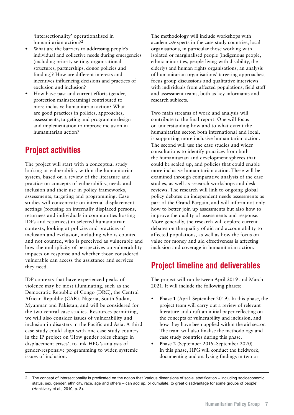<span id="page-6-0"></span>'intersectionality' operationalised in humanitarian action?2

- What are the barriers to addressing people's individual and collective needs during emergencies (including priority setting, organisational structures, partnerships, donor policies and funding)? How are different interests and incentives influencing decisions and practices of exclusion and inclusion?
- How have past and current efforts (gender, protection mainstreaming) contributed to more inclusive humanitarian action? What are good practices in policies, approaches, assessments, targeting and programme design and implementation to improve inclusion in humanitarian action?

## Project activities

The project will start with a conceptual study looking at vulnerability within the humanitarian system, based on a review of the literature and practice on concepts of vulnerability, needs and inclusion and their use in policy frameworks, assessments, targeting and programming. Case studies will concentrate on internal displacement settings (focusing on internally displaced persons, returnees and individuals in communities hosting IDPs and returnees) in selected humanitarian contexts, looking at policies and practices of inclusion and exclusion, including who is counted and not counted, who is perceived as vulnerable and how the multiplicity of perspectives on vulnerability impacts on response and whether those considered vulnerable can access the assistance and services they need.

IDP contexts that have experienced peaks of violence may be most illuminating, such as the Democratic Republic of Congo (DRC), the Central African Republic (CAR), Nigeria, South Sudan, Myanmar and Pakistan, and will be considered for the two central case studies. Resources permitting, we will also consider issues of vulnerability and inclusion in disasters in the Pacific and Asia. A third case study could align with one case study country in the IP project on 'How gender roles change in displacement crises', to link HPG's analysis of gender-responsive programming to wider, systemic issues of inclusion.

The methodology will include workshops with academics/experts in the case study countries, local organisations, in particular those working with isolated or marginalised people (indigenous people, ethnic minorities, people living with disability, the elderly) and human rights organisations; an analysis of humanitarian organisations' targeting approaches; focus group discussions and qualitative interviews with individuals from affected populations, field staff and assessment teams, both as key informants and research subjects.

Two main streams of work and analysis will contribute to the final report. One will focus on understanding how and to what extent the humanitarian sector, both international and local, is supporting more inclusive humanitarian action. The second will use the case studies and wider consultations to identify practices from both the humanitarian and development spheres that could be scaled up, and policies that could enable more inclusive humanitarian action. These will be examined through comparative analysis of the case studies, as well as research workshops and desk reviews. The research will link to ongoing global policy debates on independent needs assessments as part of the Grand Bargain, and will inform not only how to better join up assessments but also how to improve the quality of assessments and response. More generally, the research will explore current debates on the quality of aid and accountability to affected populations, as well as how the focus on value for money and aid effectiveness is affecting inclusion and coverage in humanitarian action.

## Project timeline and deliverables

The project will run between April 2019 and March 2021. It will include the following phases:

- **• Phase 1** (April–September 2019). In this phase, the project team will carry out a review of relevant literature and draft an initial paper reflecting on the concepts of vulnerability and inclusion, and how they have been applied within the aid sector. The team will also finalise the methodology and case study countries during this phase.
- **• Phase 2** (September 2019–September 2020). In this phase, HPG will conduct the fieldwork, documenting and analysing findings in two or

<sup>2</sup> The concept of intersectionality is predicated on the notion that 'various dimensions of social stratification – including socioeconomic status, sex, gender, ethnicity, race, age and others – can add up, or cumulate, to great disadvantage for some groups of people' (Hankivsky et al., 2010, p. 8).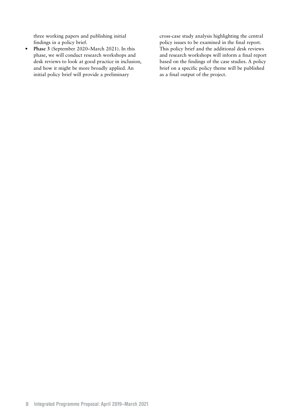three working papers and publishing initial findings in a policy brief.

**• Phase 3** (September 2020–March 2021). In this phase, we will conduct research workshops and desk reviews to look at good practice in inclusion, and how it might be more broadly applied. An initial policy brief will provide a preliminary

cross-case study analysis highlighting the central policy issues to be examined in the final report. This policy brief and the additional desk reviews and research workshops will inform a final report based on the findings of the case studies. A policy brief on a specific policy theme will be published as a final output of the project.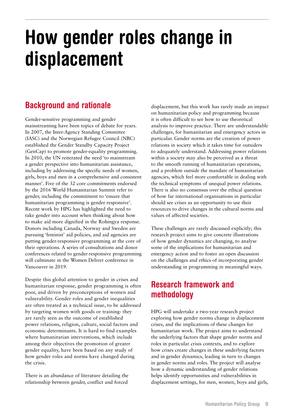# <span id="page-8-0"></span>How gender roles change in displacement

# Background and rationale

Gender-sensitive programming and gender mainstreaming have been topics of debate for years. In 2007, the Inter-Agency Standing Committee (IASC) and the Norwegian Refugee Council (NRC) established the Gender Standby Capacity Project (GenCap) to promote gender-equality programming. In 2010, the UN reiterated the need 'to mainstream a gender perspective into humanitarian assistance, including by addressing the specific needs of women, girls, boys and men in a comprehensive and consistent manner'. Five of the 32 core commitments endorsed by the 2016 World Humanitarian Summit refer to gender, including the commitment to 'ensure that humanitarian programming is gender responsive'. Recent work by HPG has highlighted the need to take gender into account when thinking about how to make aid more dignified in the Rohingya response. Donors including Canada, Norway and Sweden are pursuing 'feminist' aid policies, and aid agencies are putting gender-responsive programming at the core of their operations. A series of consultations and donor conferences related to gender-responsive programming will culminate in the Women Deliver conference in Vancouver in 2019.

Despite this global attention to gender in crises and humanitarian response, gender programming is often poor, and driven by preconceptions of women and vulnerability. Gender roles and gender inequalities are often treated as a technical issue, to be addressed by targeting women with goods or training: they are rarely seen as the outcome of established power relations, religion, culture, social factors and economic determinants. It is hard to find examples where humanitarian interventions, which include among their objectives the promotion of greater gender equality, have been based on any study of how gender roles and norms have changed during the crisis.

There is an abundance of literature detailing the relationship between gender, conflict and forced

displacement, but this work has rarely made an impact on humanitarian policy and programming because it is often difficult to see how to use theoretical analysis to improve practice. There are understandable challenges, for humanitarian and emergency actors in particular. Gender norms are the creation of power relations in society which it takes time for outsiders to adequately understand. Addressing power relations within a society may also be perceived as a threat to the smooth running of humanitarian operations, and a problem outside the mandate of humanitarian agencies, which feel more comfortable in dealing with the technical symptoms of unequal power relations. There is also no consensus over the ethical question of how far international organisations in particular should see crises as an opportunity to use their resources to drive changes in the cultural norms and values of affected societies.

These challenges are rarely discussed explicitly; this research project aims to give concrete illustrations of how gender dynamics are changing, to analyse some of the implications for humanitarian and emergency action and to foster an open discussion on the challenges and ethics of incorporating gender understanding in programming in meaningful ways.

# Research framework and methodology

HPG will undertake a two-year research project exploring how gender norms change in displacement crises, and the implications of these changes for humanitarian work. The project aims to understand the underlying factors that shape gender norms and roles in particular crisis contexts, and to explore how crises create changes in these underlying factors and in gender dynamics, leading in turn to changes in gender norms and roles. The project will analyse how a dynamic understanding of gender relations helps identify opportunities and vulnerabilities in displacement settings, for men, women, boys and girls,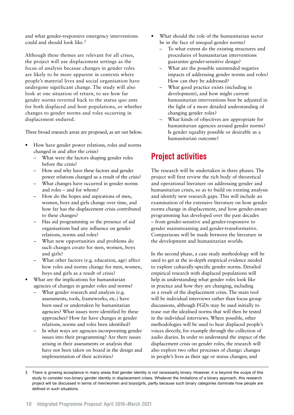<span id="page-9-0"></span>and what gender-responsive emergency interventions could and should look like.3

Although these themes are relevant for all crises, the project will use displacement settings as the focus of analysis because changes in gender roles are likely to be more apparent in contexts where people's material lives and social organisation have undergone significant change. The study will also look at one situation of return, to see how far gender norms reverted back to the status quo ante for both displaced and host populations, or whether changes to gender norms and roles occurring in displacement endured.

Three broad research areas are proposed, as set out below.

- How have gender power relations, roles and norms changed in and after the crisis?
	- What were the factors shaping gender roles before the crisis?
	- How and why have these factors and gender power relations changed as a result of the crisis?
	- What changes have occurred in gender norms and roles – and for whom?
	- How do the hopes and aspirations of men, women, boys and girls change over time, and how far has the displacement crisis contributed to these changes?
	- Has aid programming or the presence of aid organisations had any influence on gender relations, norms and roles?
	- What new opportunities and problems do such changes create for men, women, boys and girls?
	- What other factors (e.g. education, age) affect how roles and norms change for men, women, boys and girls as a result of crisis?
- What are the implications for humanitarian agencies of changes in gender roles and norms?
	- What gender research and analysis (e.g. assessments, tools, frameworks, etc.) have been used or undertaken by humanitarian agencies? What issues were identified by these approaches? How far have changes in gender relations, norms and roles been identified?
	- In what ways are agencies incorporating gender issues into their programming? Are there issues arising in their assessments or analysis that have not been taken on board in the design and implementation of their activities?
- What should the role of the humanitarian sector be in the face of unequal gender norms?
	- To what extent do the existing structures and procedures of humanitarian interventions guarantee gender-sensitive design?
	- What are the possible unintended negative impacts of addressing gender norms and roles? How can they be addressed?
	- What good practice exists (including in development), and how might current humanitarian interventions best be adjusted in the light of a more detailed understanding of changing gender roles?
	- What kinds of objectives are appropriate for humanitarian agencies around gender norms? Is gender equality possible or desirable as a humanitarian outcome?

## Project activities

The research will be undertaken in three phases. The project will first review the rich body of theoretical and operational literature on addressing gender and humanitarian crises, so as to build on existing analysis and identify new research gaps. This will include an examination of the extensive literature on how gender norms change in displacement, and how gender-aware programming has developed over the past decades – from gender-sensitive and gender-responsive to gender mainstreaming and gender-transformative. Comparisons will be made between the literature in the development and humanitarian worlds.

In the second phase, a case study methodology will be used to get at the in-depth empirical evidence needed to explore culturally-specific gender norms. Detailed empirical research with displaced populations will help in understanding what gender roles look like in practice and how they are changing, including as a result of the displacement crisis. The main tool will be individual interviews rather than focus group discussions, although FGDs may be used initially to tease out the idealised norms that will then be tested in the individual interviews. Where possible, other methodologies will be used to hear displaced people's voices directly, for example through the collection of audio diaries. In order to understand the impact of the displacement crisis on gender roles, the research will also explore two other processes of change: changes in people's lives as their age or status changes; and

<sup>3</sup> There is growing acceptance in many areas that gender identity is not necessarily binary. However, it is beyond the scope of this study to consider non-binary gender identity in displacement crises. Whatever the limitations of a binary approach, this research project will be discussed in terms of men/women and boys/girls, partly because such binary categories dominate how people are defined in such situations.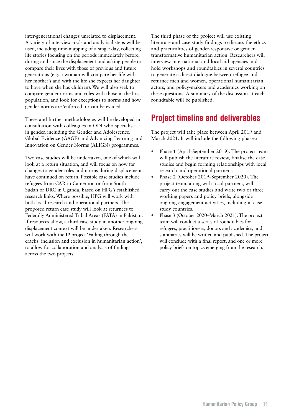<span id="page-10-0"></span>inter-generational changes unrelated to displacement. A variety of interview tools and analytical steps will be used, including time-mapping of a single day, collecting life stories focusing on the periods immediately before, during and since the displacement and asking people to compare their lives with those of previous and future generations (e.g. a woman will compare her life with her mother's and with the life she expects her daughter to have when she has children). We will also seek to compare gender norms and roles with those in the host population, and look for exceptions to norms and how gender norms are 'enforced' or can be evaded.

These and further methodologies will be developed in consultation with colleagues in ODI who specialise in gender, including the Gender and Adolescence: Global Evidence (GAGE) and Advancing Learning and Innovation on Gender Norms (ALIGN) programmes.

Two case studies will be undertaken, one of which will look at a return situation, and will focus on how far changes to gender roles and norms during displacement have continued on return. Possible case studies include refugees from CAR in Cameroon or from South Sudan or DRC in Uganda, based on HPG's established research links. Where possible, HPG will work with both local research and operational partners. The proposed return case study will look at returnees to Federally Administered Tribal Areas (FATA) in Pakistan. If resources allow, a third case study in another ongoing displacement context will be undertaken. Researchers will work with the IP project 'Falling through the cracks: inclusion and exclusion in humanitarian action', to allow for collaboration and analysis of findings across the two projects.

The third phase of the project will use existing literature and case study findings to discuss the ethics and practicalities of gender-responsive or gendertransformative humanitarian action. Researchers will interview international and local aid agencies and hold workshops and roundtables in several countries to generate a direct dialogue between refugee and returnee men and women, operational humanitarian actors, and policy-makers and academics working on these questions. A summary of the discussion at each roundtable will be published.

## Project timeline and deliverables

The project will take place between April 2019 and March 2021. It will include the following phases:

- **• Phase 1** (April–September 2019). The project team will publish the literature review, finalise the case studies and begin forming relationships with local research and operational partners.
- **• Phase 2** (October 2019–September 2020). The project team, along with local partners, will carry out the case studies and write two or three working papers and policy briefs, alongside ongoing engagement activities, including in case study countries.
- **• Phase 3** (October 2020–March 2021). The project team will conduct a series of roundtables for refugees, practitioners, donors and academics, and summaries will be written and published. The project will conclude with a final report, and one or more policy briefs on topics emerging from the research.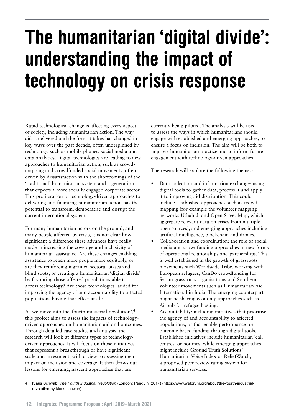# <span id="page-11-0"></span>The humanitarian 'digital divide': understanding the impact of technology on crisis response

Rapid technological change is affecting every aspect of society, including humanitarian action. The way aid is delivered and the form it takes has changed in key ways over the past decade, often underpinned by technology such as mobile phones, social media and data analytics. Digital technologies are leading to new approaches to humanitarian action, such as crowdmapping and crowdfunded social movements, often driven by dissatisfaction with the shortcomings of the 'traditional' humanitarian system and a generation that expects a more socially engaged corporate sector. This proliferation of technology-driven approaches to delivering and financing humanitarian action has the potential to transform, democratise and disrupt the current international system.

For many humanitarian actors on the ground, and many people affected by crisis, it is not clear how significant a difference these advances have really made in increasing the coverage and inclusivity of humanitarian assistance. Are these changes enabling assistance to reach more people more equitably, or are they reinforcing ingrained sectoral biases and blind spots, or creating a humanitarian 'digital divide' by favouring those affected populations able to access technology? Are those technologies lauded for improving the agency of and accountability to affected populations having that effect at all?

As we move into the 'fourth industrial revolution',4 this project aims to assess the impacts of technologydriven approaches on humanitarian aid and outcomes. Through detailed case studies and analysis, the research will look at different types of technologydriven approaches. It will focus on those initiatives that represent a breakthrough or have significant scale and investment, with a view to assessing their impact on inclusion and coverage. It then draws out lessons for emerging, nascent approaches that are

currently being piloted. The analysis will be used to assess the ways in which humanitarians should engage with established and emerging approaches, to ensure a focus on inclusion. The aim will be both to improve humanitarian practice and to inform future engagement with technology-driven approaches.

The research will explore the following themes:

- Data collection and information exchange: using digital tools to gather data, process it and apply it to improving aid distribution. This could include established approaches such as crowdmapping (for example the volunteer mapping networks Ushahidi and Open Street Map, which aggregate relevant data on crises from multiple open sources), and emerging approaches including artificial intelligence, blockchain and drones.
- Collaboration and coordination: the role of social media and crowdfunding approaches in new forms of operational relationships and partnerships. This is well established in the growth of grassroots movements such Worldwide Tribe, working with European refugees, CanDo crowdfunding for Syrian grassroots organisations and Southern volunteer movements such as Humanitarian Aid International in India. The emerging counterpart might be sharing economy approaches such as Airbnb for refugee hosting.
- Accountability: including initiatives that prioritise the agency of and accountability to affected populations, or that enable performance- or outcome-based funding through digital tools. Established initiatives include humanitarian 'call centres' or hotlines, while emerging approaches might include Ground Truth Solutions' Humanitarian Voice Index or ReliefWatch, a proposed peer review rating system for humanitarian services.

<sup>4</sup> Klaus Schwab, *The Fourth Industrial Revolution* (London: Penguin, 2017) [\(https://www.weforum.org/about/the-fourth-industrial](https://www.weforum.org/about/the-fourth-industrial-revolution-by-klaus-schwab)[revolution-by-klaus-schwab](https://www.weforum.org/about/the-fourth-industrial-revolution-by-klaus-schwab)).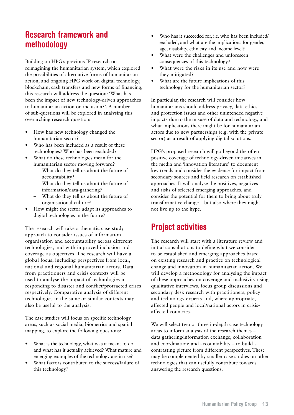# <span id="page-12-0"></span>Research framework and methodology

Building on HPG's previous IP research on reimagining the humanitarian system, which explored the possibilities of alternative forms of humanitarian action, and ongoing HPG work on digital technology, blockchain, cash transfers and new forms of financing, this research will address the question: 'What has been the impact of new technology-driven approaches to humanitarian action on inclusion?'. A number of sub-questions will be explored in analysing this overarching research question:

- How has new technology changed the humanitarian sector?
- Who has been included as a result of these technologies? Who has been excluded?
- What do these technologies mean for the humanitarian sector moving forward?
	- What do they tell us about the future of accountability?
	- What do they tell us about the future of information/data-gathering?
	- What do they tell us about the future of organisational culture?
- How might the sector adapt its approaches to digital technologies in the future?

The research will take a thematic case study approach to consider issues of information, organisation and accountability across different technologies, and with improved inclusion and coverage as objectives. The research will have a global focus, including perspectives from local, national and regional humanitarian actors. Data from practitioners and crisis contexts will be used to analyse the impact of technologies in responding to disaster and conflict/protracted crises respectively. Comparative analysis of different technologies in the same or similar contexts may also be useful to the analysis.

The case studies will focus on specific technology areas, such as social media, biometrics and spatial mapping, to explore the following questions:

- What is the technology, what was it meant to do and what has it actually achieved? What mature and emerging examples of the technology are in use?
- What factors contributed to the success/failure of this technology?
- Who has it succeeded for, i.e. who has been included/ excluded, and what are the implications for gender, age, disability, ethnicity and income level?
- What were the challenges and unforeseen consequences of this technology?
- What were the risks in its use and how were they mitigated?
- What are the future implications of this technology for the humanitarian sector?

In particular, the research will consider how humanitarians should address privacy, data ethics and protection issues and other unintended negative impacts due to the misuse of data and technology, and what implications there might be for humanitarian actors due to new partnerships (e.g. with the private sector) as a result of applying digital solutions.

HPG's proposed research will go beyond the often positive coverage of technology-driven initiatives in the media and 'innovation literature' to document key trends and consider the evidence for impact from secondary sources and field research on established approaches. It will analyse the positives, negatives and risks of selected emerging approaches, and consider the potential for them to bring about truly transformative change – but also where they might not live up to the hype.

# Project activities

The research will start with a literature review and initial consultations to define what we consider to be established and emerging approaches based on existing research and practice on technological change and innovation in humanitarian action. We will develop a methodology for analysing the impact of these approaches on coverage and inclusivity using qualitative interviews, focus group discussions and secondary desk research with practitioners, policy and technology experts and, where appropriate, affected people and local/national actors in crisisaffected countries.

We will select two or three in-depth case technology areas to inform analysis of the research themes – data gathering/information exchange; collaboration and coordination; and accountability – to build a contrasting picture from different perspectives. These may be complemented by smaller case studies on other technologies that can usefully contribute towards answering the research questions.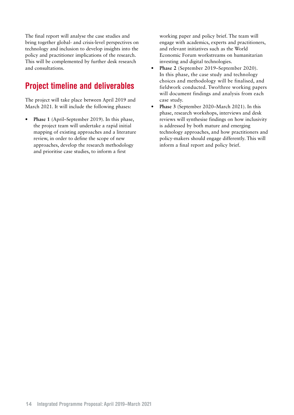<span id="page-13-0"></span>The final report will analyse the case studies and bring together global- and crisis-level perspectives on technology and inclusion to develop insights into the policy and practitioner implications of the research. This will be complemented by further desk research and consultations.

# Project timeline and deliverables

The project will take place between April 2019 and March 2021. It will include the following phases:

**• Phase 1** (April–September 2019). In this phase, the project team will undertake a rapid initial mapping of existing approaches and a literature review, in order to define the scope of new approaches, develop the research methodology and prioritise case studies, to inform a first

working paper and policy brief. The team will engage with academics, experts and practitioners, and relevant initiatives such as the World Economic Forum workstreams on humanitarian investing and digital technologies.

- **• Phase 2** (September 2019–September 2020). In this phase, the case study and technology choices and methodology will be finalised, and fieldwork conducted. Two/three working papers will document findings and analysis from each case study.
- **• Phase 3** (September 2020–March 2021). In this phase, research workshops, interviews and desk reviews will synthesise findings on how inclusivity is addressed by both mature and emerging technology approaches, and how practitioners and policy-makers should engage differently. This will inform a final report and policy brief.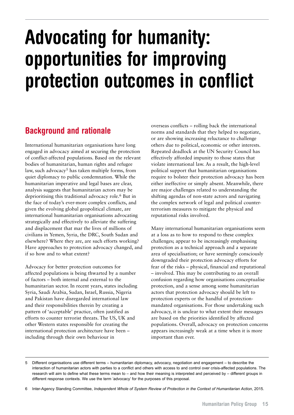# <span id="page-14-0"></span>Advocating for humanity: opportunities for improving protection outcomes in conflict

# Background and rationale

International humanitarian organisations have long engaged in advocacy aimed at securing the protection of conflict-affected populations. Based on the relevant bodies of humanitarian, human rights and refugee law, such advocacy<sup>5</sup> has taken multiple forms, from quiet diplomacy to public condemnation. While the humanitarian imperative and legal bases are clear, analysis suggests that humanitarian actors may be deprioritising this traditional advocacy role.6 But in the face of today's ever-more complex conflicts, and given the evolving global geopolitical climate, are international humanitarian organisations advocating strategically and effectively to alleviate the suffering and displacement that mar the lives of millions of civilians in Yemen, Syria, the DRC, South Sudan and elsewhere? Where they are, are such efforts working? Have approaches to protection advocacy changed, and if so how and to what extent?

Advocacy for better protection outcomes for affected populations is being thwarted by a number of factors – both internal and external to the humanitarian sector. In recent years, states including Syria, Saudi Arabia, Sudan, Israel, Russia, Nigeria and Pakistan have disregarded international law and their responsibilities therein by creating a pattern of 'acceptable' practice, often justified as efforts to counter terrorist threats. The US, UK and other Western states responsible for creating the international protection architecture have been – including through their own behaviour in

overseas conflicts – rolling back the international norms and standards that they helped to negotiate, or are showing increasing reluctance to challenge others due to political, economic or other interests. Repeated deadlock at the UN Security Council has effectively afforded impunity to those states that violate international law. As a result, the high-level political support that humanitarian organisations require to bolster their protection advocacy has been either ineffective or simply absent. Meanwhile, there are major challenges related to understanding the shifting agendas of non-state actors and navigating the complex network of legal and political counterterrorism measures to mitigate the physical and reputational risks involved.

Many international humanitarian organisations seem at a loss as to how to respond to these complex challenges; appear to be increasingly emphasising protection as a technical approach and a separate area of specialisation; or have seemingly consciously downgraded their protection advocacy efforts for fear of the risks – physical, financial and reputational – involved. This may be contributing to an overall confusion regarding how organisations conceptualise protection, and a sense among some humanitarian actors that protection advocacy should be left to protection experts or the handful of protectionmandated organisations. For those undertaking such advocacy, it is unclear to what extent their messages are based on the priorities identified by affected populations. Overall, advocacy on protection concerns appears increasingly weak at a time when it is more important than ever.

<sup>5</sup> Different organisations use different terms – humanitarian diplomacy, advocacy, negotiation and engagement – to describe the interaction of humanitarian actors with parties to a conflict and others with access to and control over crisis-affected populations. The research will aim to define what these terms mean to – and how their meaning is interpreted and perceived by – different groups in different response contexts. We use the term 'advocacy' for the purposes of this proposal.

<sup>6</sup> Inter-Agency Standing Committee, *Independent Whole of System Review of Protection in the Context of Humanitarian Action*, 2015.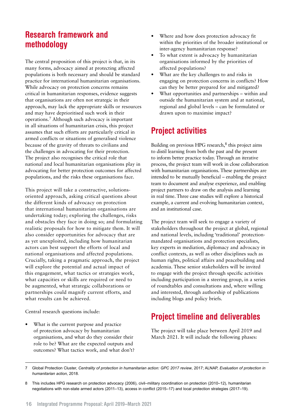# <span id="page-15-0"></span>Research framework and methodology

The central proposition of this project is that, in its many forms, advocacy aimed at protecting affected populations is both necessary and should be standard practice for international humanitarian organisations. While advocacy on protection concerns remains critical in humanitarian responses, evidence suggests that organisations are often not strategic in their approach, may lack the appropriate skills or resources and may have deprioritised such work in their operations.7 Although such advocacy is important in all situations of humanitarian crisis, this project assumes that such efforts are particularly critical in armed conflicts or situations of generalised violence because of the gravity of threats to civilians and the challenges in advocating for their protection. The project also recognises the critical role that national and local humanitarian organisations play in advocating for better protection outcomes for affected populations, and the risks these organisations face.

This project will take a constructive, solutionsoriented approach, asking critical questions about the different kinds of advocacy on protection that international humanitarian organisations are undertaking today; exploring the challenges, risks and obstacles they face in doing so; and formulating realistic proposals for how to mitigate them. It will also consider opportunities for advocacy that are as yet unexploited, including how humanitarian actors can best support the efforts of local and national organisations and affected populations. Crucially, taking a pragmatic approach, the project will explore the potential and actual impact of this engagement, what tactics or strategies work, what capacities or skills are required or need to be augmented, what strategic collaborations or partnerships could magnify current efforts, and what results can be achieved.

Central research questions include:

What is the current purpose and practice of protection advocacy by humanitarian organisations, and what do they consider their role to be? What are the expected outputs and outcomes? What tactics work, and what don't?

- Where and how does protection advocacy fit within the priorities of the broader institutional or inter-agency humanitarian response?
- To what extent is advocacy by humanitarian organisations informed by the priorities of affected populations?
- What are the key challenges to and risks in engaging on protection concerns in conflicts? How can they be better prepared for and mitigated?
- What opportunities and partnerships within and outside the humanitarian system and at national, regional and global levels – can be formulated or drawn upon to maximise impact?

# Project activities

Building on previous HPG research,<sup>8</sup> this project aims to distil learning from both the past and the present to inform better practice today. Through an iterative process, the project team will work in close collaboration with humanitarian organisations. These partnerships are intended to be mutually beneficial – enabling the project team to document and analyse experience, and enabling project partners to draw on the analysis and learning in real time. Three case studies will explore a historical example, a current and evolving humanitarian context, and an institutional case.

The project team will seek to engage a variety of stakeholders throughout the project at global, regional and national levels, including 'traditional' protectionmandated organisations and protection specialists, key experts in mediation, diplomacy and advocacy in conflict contexts, as well as other disciplines such as human rights, political affairs and peacebuilding and academia. These senior stakeholders will be invited to engage with the project through specific activities including participation in a steering group, in a series of roundtables and consultations and, where willing and interested, through authorship of publications including blogs and policy briefs.

# Project timeline and deliverables

The project will take place between April 2019 and March 2021. It will include the following phases:

<sup>7</sup> Global Protection Cluster, *Centrality of protection in humanitarian action: GPC 2017 review*, 2017; ALNAP, *Evaluation of protection in humanitarian action*, 2018.

<sup>8</sup> This includes HPG research on protection advocacy (2006), civil–military coordination on protection (2010–12), humanitarian negotiations with non-state armed actors (2011–13), access in conflict (2015–17) and local protection strategies (2017–19).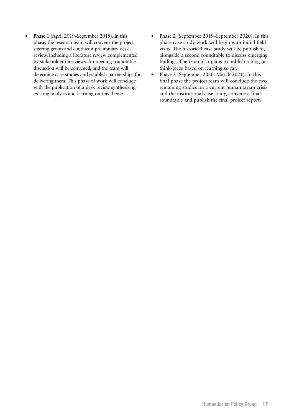- **• Phase 1** (April 2019–September 2019). In this phase, the research team will convene the project steering group and conduct a preliminary desk review, including a literature review complemented by stakeholder interviews. An opening roundtable discussion will be convened, and the team will determine case studies and establish partnerships for delivering them. This phase of work will conclude with the publication of a desk review synthesising existing analysis and learning on this theme.
- **• Phase 2** (September 2019–September 2020). In this phase case study work will begin with initial field visits. The historical case study will be published, alongside a second roundtable to discuss emerging findings. The team also plans to publish a blog or think-piece based on learning so far.
- **• Phase 3** (September 2020–March 2021). In this final phase the project team will conclude the two remaining studies on a current humanitarian crisis and the institutional case study, convene a final roundtable and publish the final project report.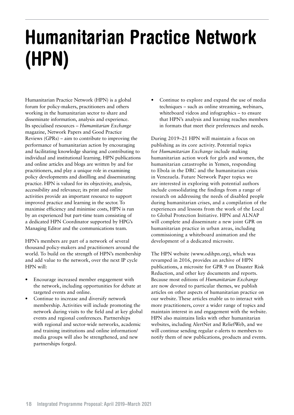# <span id="page-17-0"></span>Humanitarian Practice Network (HPN)

Humanitarian Practice Network (HPN) is a global forum for policy-makers, practitioners and others working in the humanitarian sector to share and disseminate information, analysis and experience. Its specialised resources – *Humanitarian Exchange*  magazine, Network Papers and Good Practice Reviews (GPRs) – aim to contribute to improving the performance of humanitarian action by encouraging and facilitating knowledge sharing and contributing to individual and institutional learning. HPN publications and online articles and blogs are written by and for practitioners, and play a unique role in examining policy developments and distilling and disseminating practice. HPN is valued for its objectivity, analysis, accessibility and relevance; its print and online activities provide an important resource to support improved practice and learning in the sector. To maximise efficiency and minimise costs, HPN is run by an experienced but part-time team consisting of a dedicated HPN Coordinator supported by HPG's Managing Editor and the communications team.

HPN's members are part of a network of several thousand policy-makers and practitioners around the world. To build on the strength of HPN's membership and add value to the network, over the next IP cycle HPN will:

- Encourage increased member engagement with the network, including opportunities for debate at targeted events and online.
- Continue to increase and diversify network membership. Activities will include promoting the network during visits to the field and at key global events and regional conferences. Partnerships with regional and sector-wide networks, academic and training institutions and online information/ media groups will also be strengthened, and new partnerships forged.

Continue to explore and expand the use of media techniques – such as online streaming, webinars, whiteboard videos and infographics – to ensure that HPN's analysis and learning reaches members in formats that meet their preferences and needs.

During 2019–21 HPN will maintain a focus on publishing as its core activity. Potential topics for *Humanitarian Exchange* include making humanitarian action work for girls and women, the humanitarian catastrophe in Yemen, responding to Ebola in the DRC and the humanitarian crisis in Venezuela. Future Network Paper topics we are interested in exploring with potential authors include consolidating the findings from a range of research on addressing the needs of disabled people during humanitarian crises, and a compilation of the experiences and lessons from the work of the Local to Global Protection Initiative. HPN and ALNAP will complete and disseminate a new joint GPR on humanitarian practice in urban areas, including commissioning a whiteboard animation and the development of a dedicated microsite.

The HPN website ([www.odihpn.org\)](http://www.odihpn.org), which was revamped in 2016, provides an archive of HPN publications, a microsite for GPR 9 on Disaster Risk Reduction, and other key documents and reports. Because most editions of *Humanitarian Exchange* are now devoted to particular themes, we publish articles on other aspects of humanitarian practice on our website. These articles enable us to interact with more practitioners, cover a wider range of topics and maintain interest in and engagement with the website. HPN also maintains links with other humanitarian websites, including AlertNet and ReliefWeb, and we will continue sending regular e-alerts to members to notify them of new publications, products and events.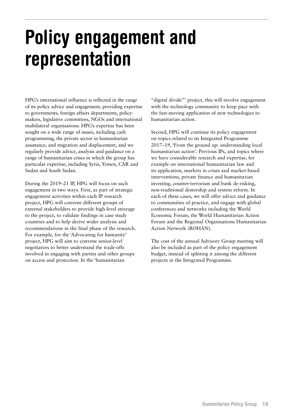# <span id="page-18-0"></span>Policy engagement and representation

HPG's international influence is reflected in the range of its policy advice and engagement, providing expertise to governments, foreign affairs departments, policymakers, legislative committees, NGOs and international multilateral organisations. HPG's expertise has been sought on a wide range of issues, including cash programming, the private sector in humanitarian assistance, and migration and displacement, and we regularly provide advice, analysis and guidance on a range of humanitarian crises in which the group has particular expertise, including Syria, Yemen, CAR and Sudan and South Sudan.

During the 2019–21 IP, HPG will focus on such engagement in two ways. First, as part of strategic engagement activities within each IP research project, HPG will convene different groups of external stakeholders to provide high-level steerage to the project, to validate findings in case study countries and to help derive wider analysis and recommendations in the final phase of the research. For example, for the 'Advocating for humanity' project, HPG will aim to convene senior-level negotiators to better understand the trade-offs involved in engaging with parties and other groups on access and protection. In the 'humanitarian

"digital divide"' project, this will involve engagement with the technology community to keep pace with the fast-moving application of new technologies to humanitarian action.

Second, HPG will continue its policy engagement on topics related to its Integrated Programme 2017–19, 'From the ground up: understanding local humanitarian action'. Previous IPs, and topics where we have considerable research and expertise, for example on international humanitarian law and its application, markets in crises and market-based interventions, private finance and humanitarian investing, counter-terrorism and bank de-risking, non-traditional donorship and system reform. In each of these cases, we will offer advice and guidance to communities of practice, and engage with global conferences and networks including the World Economic Forum, the World Humanitarian Action Forum and the Regional Organisations Humanitarian Action Network (ROHAN).

The cost of the annual Advisory Group meeting will also be included as part of the policy engagement budget, instead of splitting it among the different projects in the Integrated Programme.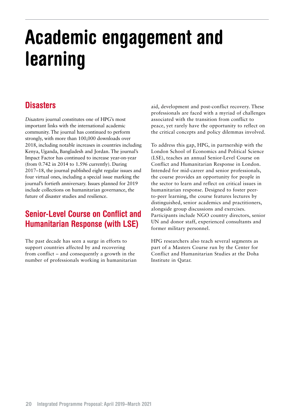# <span id="page-19-0"></span>Academic engagement and learning

## **Disasters**

*Disasters* journal constitutes one of HPG's most important links with the international academic community. The journal has continued to perform strongly, with more than 100,000 downloads over 2018, including notable increases in countries including Kenya, Uganda, Bangladesh and Jordan. The journal's Impact Factor has continued to increase year-on-year (from 0.742 in 2014 to 1.596 currently). During 2017–18, the journal published eight regular issues and four virtual ones, including a special issue marking the journal's fortieth anniversary. Issues planned for 2019 include collections on humanitarian governance, the future of disaster studies and resilience.

## Senior-Level Course on Conflict and Humanitarian Response (with LSE)

The past decade has seen a surge in efforts to support countries affected by and recovering from conflict – and consequently a growth in the number of professionals working in humanitarian aid, development and post-conflict recovery. These professionals are faced with a myriad of challenges associated with the transition from conflict to peace, yet rarely have the opportunity to reflect on the critical concepts and policy dilemmas involved.

To address this gap, HPG, in partnership with the London School of Economics and Political Science (LSE), teaches an annual Senior-Level Course on Conflict and Humanitarian Response in London. Intended for mid-career and senior professionals, the course provides an opportunity for people in the sector to learn and reflect on critical issues in humanitarian response. Designed to foster peerto-peer learning, the course features lectures by distinguished, senior academics and practitioners, alongside group discussions and exercises. Participants include NGO country directors, senior UN and donor staff, experienced consultants and former military personnel.

HPG researchers also teach several segments as part of a Masters Course run by the Center for Conflict and Humanitarian Studies at the Doha Institute in Qatar.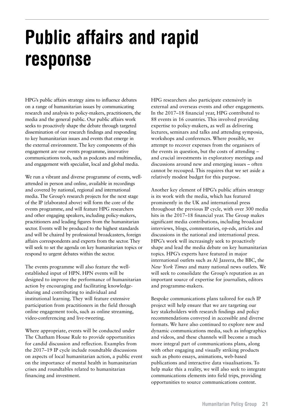# <span id="page-20-0"></span>Public affairs and rapid response

HPG's public affairs strategy aims to influence debates on a range of humanitarian issues by communicating research and analysis to policy-makers, practitioners, the media and the general public. Our public affairs work seeks to proactively shape the debate through targeted dissemination of our research findings and responding to key humanitarian issues and events that emerge in the external environment. The key components of this engagement are our events programme, innovative communications tools, such as podcasts and multimedia, and engagement with specialist, local and global media.

We run a vibrant and diverse programme of events, wellattended in person and online, available in recordings and covered by national, regional and international media. The Group's research projects for the next stage of the IP (elaborated above) will form the core of the events programme, and will feature HPG researchers and other engaging speakers, including policy-makers, practitioners and leading figures from the humanitarian sector. Events will be produced to the highest standards and will be chaired by professional broadcasters, foreign affairs correspondents and experts from the sector. They will seek to set the agenda on key humanitarian topics or respond to urgent debates within the sector.

The events programme will also feature the wellestablished input of HPN. HPN events will be designed to improve the performance of humanitarian action by encouraging and facilitating knowledgesharing and contributing to individual and institutional learning. They will feature extensive participation from practitioners in the field through online engagement tools, such as online streaming, video-conferencing and live-tweeting.

Where appropriate, events will be conducted under The Chatham House Rule to provide opportunities for candid discussion and reflection. Examples from the 2017–19 IP cycle include roundtable discussions on aspects of local humanitarian action, a public event on the importance of mental health in humanitarian crises and roundtables related to humanitarian financing and investment.

HPG researchers also participate extensively in external and overseas events and other engagements. In the 2017–18 financial year, HPG contributed to 88 events in 16 countries. This involved providing expertise to policy-makers, as well as delivering lectures, seminars and talks and attending symposia, workshops and conferences. Where possible, we attempt to recover expenses from the organisers of the events in question, but the costs of attending – and crucial investments in exploratory meetings and discussions around new and emerging issues – often cannot be recouped. This requires that we set aside a relatively modest budget for this purpose.

Another key element of HPG's public affairs strategy is its work with the media, which has featured prominently in the UK and international press throughout the previous IP cycle, with over 300 media hits in the 2017–18 financial year. The Group makes significant media contributions, including broadcast interviews, blogs, commentaries, op-eds, articles and discussions in the national and international press. HPG's work will increasingly seek to proactively shape and lead the media debate on key humanitarian topics. HPG's experts have featured in major international outlets such as Al Jazeera, the BBC, the *New York Times* and many national news outlets. We will seek to consolidate the Group's reputation as an important source of expertise for journalists, editors and programme-makers.

Bespoke communications plans tailored for each IP project will help ensure that we are targeting our key stakeholders with research findings and policy recommendations conveyed in accessible and diverse formats. We have also continued to explore new and dynamic communications media, such as infographics and videos, and these channels will become a much more integral part of communications plans, along with other engaging and visually striking products such as photo essays, animations, web-based publications and interactive data visualisations. To help make this a reality, we will also seek to integrate communications elements into field trips, providing opportunities to source communications content.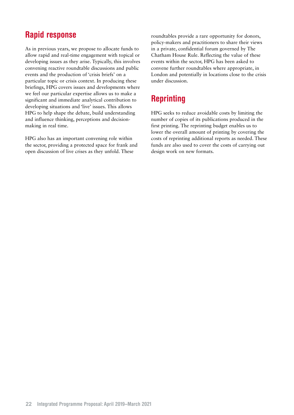## <span id="page-21-0"></span>Rapid response

As in previous years, we propose to allocate funds to allow rapid and real-time engagement with topical or developing issues as they arise. Typically, this involves convening reactive roundtable discussions and public events and the production of 'crisis briefs' on a particular topic or crisis context. In producing these briefings, HPG covers issues and developments where we feel our particular expertise allows us to make a significant and immediate analytical contribution to developing situations and 'live' issues. This allows HPG to help shape the debate, build understanding and influence thinking, perceptions and decisionmaking in real time.

HPG also has an important convening role within the sector, providing a protected space for frank and open discussion of live crises as they unfold. These

roundtables provide a rare opportunity for donors, policy-makers and practitioners to share their views in a private, confidential forum governed by The Chatham House Rule. Reflecting the value of these events within the sector, HPG has been asked to convene further roundtables where appropriate, in London and potentially in locations close to the crisis under discussion.

# **Reprinting**

HPG seeks to reduce avoidable costs by limiting the number of copies of its publications produced in the first printing. The reprinting budget enables us to lower the overall amount of printing by covering the costs of reprinting additional reports as needed. These funds are also used to cover the costs of carrying out design work on new formats.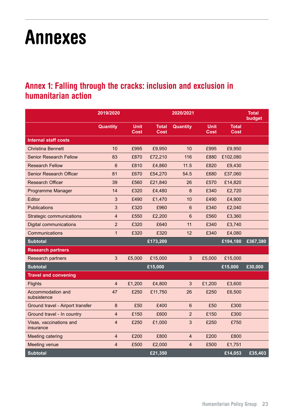# <span id="page-22-0"></span>Annexes

## Annex 1: Falling through the cracks: inclusion and exclusion in humanitarian action

|                                      | 2019/2020               |                            |                             | 2020/2021       |                            |                             | <b>Total</b><br>budget |
|--------------------------------------|-------------------------|----------------------------|-----------------------------|-----------------|----------------------------|-----------------------------|------------------------|
|                                      | <b>Quantity</b>         | <b>Unit</b><br><b>Cost</b> | <b>Total</b><br><b>Cost</b> | <b>Quantity</b> | <b>Unit</b><br><b>Cost</b> | <b>Total</b><br><b>Cost</b> |                        |
| <b>Internal staff costs</b>          |                         |                            |                             |                 |                            |                             |                        |
| <b>Christina Bennett</b>             | 10                      | £995                       | £9,950                      | 10              | £995                       | £9,950                      |                        |
| <b>Senior Research Fellow</b>        | 83                      | £870                       | £72,210                     | 116             | £880                       | £102,080                    |                        |
| <b>Research Fellow</b>               | 6                       | £810                       | £4,860                      | 11.5            | £820                       | £9,430                      |                        |
| <b>Senior Research Officer</b>       | 81                      | £670                       | £54,270                     | 54.5            | £680                       | £37,060                     |                        |
| <b>Research Officer</b>              | 39                      | £560                       | £21,840                     | 26              | £570                       | £14,820                     |                        |
| Programme Manager                    | 14                      | £320                       | £4,480                      | 8               | £340                       | £2,720                      |                        |
| Editor                               | 3                       | £490                       | £1,470                      | 10              | £490                       | £4,900                      |                        |
| <b>Publications</b>                  | 3                       | £320                       | £960                        | 6               | £340                       | £2,040                      |                        |
| Strategic communications             | 4                       | £550                       | £2,200                      | 6               | £560                       | £3,360                      |                        |
| <b>Digital communications</b>        | $\overline{2}$          | £320                       | £640                        | 11              | £340                       | £3,740                      |                        |
| Communications                       | $\mathbf{1}$            | £320                       | £320                        | 12              | £340                       | £4,080                      |                        |
| <b>Subtotal</b>                      |                         |                            | £173,200                    |                 |                            | £194,180                    | £367,380               |
| <b>Research partners</b>             |                         |                            |                             |                 |                            |                             |                        |
| <b>Research partners</b>             | 3                       | £5,000                     | £15,000                     | 3               | £5,000                     | £15,000                     |                        |
| <b>Subtotal</b>                      |                         |                            | £15,000                     |                 |                            | £15,000                     | £30,000                |
| <b>Travel and convening</b>          |                         |                            |                             |                 |                            |                             |                        |
| <b>Flights</b>                       | $\overline{4}$          | £1,200                     | £4,800                      | 3               | £1,200                     | £3,600                      |                        |
| Accommodation and<br>subsistence     | 47                      | £250                       | £11,750                     | 26              | £250                       | £6,500                      |                        |
| Ground travel - Airport transfer     | 8                       | £50                        | £400                        | 6               | £50                        | £300                        |                        |
| Ground travel - In country           | $\overline{\mathbf{4}}$ | £150                       | £600                        | $\overline{2}$  | £150                       | £300                        |                        |
| Visas, vaccinations and<br>insurance | $\overline{4}$          | £250                       | £1,000                      | 3               | £250                       | £750                        |                        |
| <b>Meeting catering</b>              | $\overline{4}$          | £200                       | £800                        | $\overline{4}$  | £200                       | £800                        |                        |
| Meeting venue                        | $\overline{4}$          | £500                       | £2,000                      | 4               | £500                       | £1,751                      |                        |
| <b>Subtotal</b>                      |                         |                            | £21,350                     |                 |                            | $\sqrt{214,053}$            | £35,403                |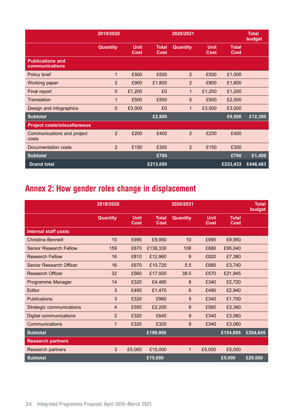|                                           | 2019/2020       |                            |                             | 2020/2021       |                     |                             | <b>Total</b><br>budget |
|-------------------------------------------|-----------------|----------------------------|-----------------------------|-----------------|---------------------|-----------------------------|------------------------|
|                                           | <b>Quantity</b> | <b>Unit</b><br><b>Cost</b> | <b>Total</b><br><b>Cost</b> | <b>Quantity</b> | <b>Unit</b><br>Cost | <b>Total</b><br><b>Cost</b> |                        |
| <b>Publications and</b><br>communications |                 |                            |                             |                 |                     |                             |                        |
| Policy brief                              | 1               | £500                       | £500                        | 2               | £500                | £1,000                      |                        |
| <b>Working paper</b>                      | $\overline{2}$  | £900                       | £1,800                      | $\overline{2}$  | £900                | £1,800                      |                        |
| Final report                              | $\mathbf{0}$    | £1,200                     | £0                          | $\mathbf{1}$    | £1,200              | £1,200                      |                        |
| Translation                               | 1               | £500                       | £500                        | 5               | £500                | £2,500                      |                        |
| Design and infographics                   | $\Omega$        | £3,000                     | £0                          | 1               | £3,000              | £3,000                      |                        |
| <b>Subtotal</b>                           |                 |                            | £2,800                      |                 |                     | £9,500                      | £12,300                |
| <b>Project costs/miscellaneous</b>        |                 |                            |                             |                 |                     |                             |                        |
| Communications and project<br>costs       | 2               | £200                       | £400                        | $\overline{2}$  | £200                | £400                        |                        |
| Documentation costs                       | $\overline{2}$  | £150                       | £300                        | $\overline{2}$  | £150                | £300                        |                        |
| <b>Subtotal</b>                           |                 |                            | £700                        |                 |                     | £700                        | £1,400                 |
| <b>Grand total</b>                        |                 |                            | £213,050                    |                 |                     | £233,433                    | £446,483               |

# Annex 2: How gender roles change in displacement

|                               | 2019/2020       |                     |                             | 2020/2021       |                     |                             | <b>Total</b><br>budget |
|-------------------------------|-----------------|---------------------|-----------------------------|-----------------|---------------------|-----------------------------|------------------------|
|                               | <b>Quantity</b> | <b>Unit</b><br>Cost | <b>Total</b><br><b>Cost</b> | <b>Quantity</b> | <b>Unit</b><br>Cost | <b>Total</b><br><b>Cost</b> |                        |
| <b>Internal staff costs</b>   |                 |                     |                             |                 |                     |                             |                        |
| <b>Christina Bennett</b>      | 10              | £995                | £9,950                      | 10              | £995                | £9,950                      |                        |
| <b>Senior Research Fellow</b> | 159             | £870                | £138,330                    | 108             | £880                | £95,040                     |                        |
| <b>Research Fellow</b>        | 16              | £810                | £12,960                     | 9               | £820                | £7,380                      |                        |
| Senior Research Officer       | 16              | £670                | £10,720                     | 5.5             | £680                | £3,740                      |                        |
| <b>Research Officer</b>       | 32              | £560                | £17,920                     | 38.5            | £570                | £21,945                     |                        |
| Programme Manager             | 14              | £320                | £4,480                      | 8               | £340                | £2,720                      |                        |
| Editor                        | 3               | £490                | £1,470                      | $6\phantom{1}$  | £490                | £2,940                      |                        |
| <b>Publications</b>           | 3               | £320                | £960                        | 5               | £340                | £1,700                      |                        |
| Strategic communications      | 4               | £550                | £2,200                      | 6               | £560                | £3,360                      |                        |
| Digital communications        | 2               | £320                | £640                        | 9               | £340                | £3,060                      |                        |
| Communications                | 1               | £320                | £320                        | 9               | £340                | £3,060                      |                        |
| <b>Subtotal</b>               |                 |                     | £199,950                    |                 |                     | £154,895                    | £354,845               |
| <b>Research partners</b>      |                 |                     |                             |                 |                     |                             |                        |
| <b>Research partners</b>      | 3               | £5,000              | £15,000                     | $\mathbf 1$     | £5,000              | £5,000                      |                        |
| <b>Subtotal</b>               |                 |                     | £15,000                     |                 |                     | £5,000                      | £20,000                |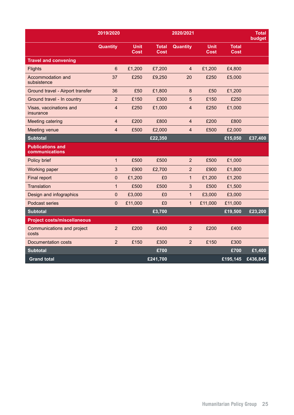|                                           | 2019/2020       |                            |                             | 2020/2021               |                            |                             | <b>Total</b><br>budget |
|-------------------------------------------|-----------------|----------------------------|-----------------------------|-------------------------|----------------------------|-----------------------------|------------------------|
|                                           | <b>Quantity</b> | <b>Unit</b><br><b>Cost</b> | <b>Total</b><br><b>Cost</b> | <b>Quantity</b>         | <b>Unit</b><br><b>Cost</b> | <b>Total</b><br><b>Cost</b> |                        |
| <b>Travel and convening</b>               |                 |                            |                             |                         |                            |                             |                        |
| Flights                                   | $6\phantom{1}$  | £1,200                     | £7,200                      | $\overline{4}$          | £1,200                     | £4,800                      |                        |
| Accommodation and<br>subsistence          | 37              | £250                       | £9,250                      | 20                      | £250                       | £5,000                      |                        |
| Ground travel - Airport transfer          | 36              | £50                        | £1,800                      | $\bf 8$                 | £50                        | £1,200                      |                        |
| Ground travel - In country                | $\overline{2}$  | £150                       | £300                        | $\overline{5}$          | £150                       | £250                        |                        |
| Visas, vaccinations and<br>insurance      | $\overline{4}$  | £250                       | £1,000                      | $\overline{4}$          | £250                       | £1,000                      |                        |
| Meeting catering                          | $\overline{4}$  | £200                       | £800                        | $\overline{\mathbf{4}}$ | £200                       | £800                        |                        |
| Meeting venue                             | $\overline{4}$  | £500                       | £2,000                      | $\overline{4}$          | £500                       | £2,000                      |                        |
| <b>Subtotal</b>                           |                 |                            | £22,350                     |                         |                            | £15,050                     | £37,400                |
| <b>Publications and</b><br>communications |                 |                            |                             |                         |                            |                             |                        |
| Policy brief                              | $\mathbf{1}$    | £500                       | £500                        | $\overline{2}$          | £500                       | £1,000                      |                        |
| Working paper                             | 3               | £900                       | £2,700                      | $\overline{2}$          | £900                       | £1,800                      |                        |
| <b>Final report</b>                       | $\mathbf 0$     | £1,200                     | £0                          | $\mathbf{1}$            | £1,200                     | £1,200                      |                        |
| <b>Translation</b>                        | $\mathbf{1}$    | £500                       | £500                        | 3                       | £500                       | £1,500                      |                        |
| Design and infographics                   | $\pmb{0}$       | £3,000                     | £0                          | $\mathbf{1}$            | £3,000                     | £3,000                      |                        |
| Podcast series                            | $\mathbf 0$     | £11,000                    | £0                          | $\mathbf{1}$            | £11,000                    | £11,000                     |                        |
| <b>Subtotal</b>                           |                 |                            | £3,700                      |                         |                            | £19,500                     | £23,200                |
| <b>Project costs/miscellaneous</b>        |                 |                            |                             |                         |                            |                             |                        |
| Communications and project<br>costs       | $\overline{2}$  | £200                       | £400                        | $\overline{2}$          | £200                       | £400                        |                        |
| Documentation costs                       | $\overline{2}$  | £150                       | £300                        | $\overline{2}$          | £150                       | £300                        |                        |
| <b>Subtotal</b>                           |                 |                            | £700                        |                         |                            | £700                        | £1,400                 |
| <b>Grand total</b>                        |                 |                            | £241,700                    |                         |                            | £195,145                    | £436,845               |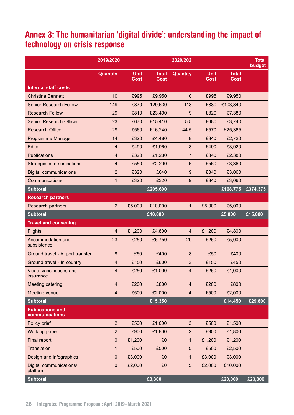# Annex 3: The humanitarian 'digital divide': understanding the impact of technology on crisis response

|                                           | 2019/2020               |                            |                             | 2020/2021        |                            |                             | <b>Total</b><br>budget |
|-------------------------------------------|-------------------------|----------------------------|-----------------------------|------------------|----------------------------|-----------------------------|------------------------|
|                                           | <b>Quantity</b>         | <b>Unit</b><br><b>Cost</b> | <b>Total</b><br><b>Cost</b> | <b>Quantity</b>  | <b>Unit</b><br><b>Cost</b> | <b>Total</b><br><b>Cost</b> |                        |
| <b>Internal staff costs</b>               |                         |                            |                             |                  |                            |                             |                        |
| <b>Christina Bennett</b>                  | 10                      | £995                       | £9,950                      | 10               | £995                       | £9,950                      |                        |
| <b>Senior Research Fellow</b>             | 149                     | £870                       | 129,630                     | 118              | £880                       | £103,840                    |                        |
| <b>Research Fellow</b>                    | 29                      | £810                       | £23,490                     | 9                | £820                       | £7,380                      |                        |
| <b>Senior Research Officer</b>            | 23                      | £670                       | £15,410                     | 5.5              | £680                       | £3,740                      |                        |
| <b>Research Officer</b>                   | 29                      | £560                       | £16,240                     | 44.5             | £570                       | £25,365                     |                        |
| Programme Manager                         | 14                      | £320                       | £4,480                      | 8                | £340                       | £2,720                      |                        |
| Editor                                    | $\overline{4}$          | £490                       | £1,960                      | 8                | £490                       | £3,920                      |                        |
| <b>Publications</b>                       | $\overline{4}$          | £320                       | £1,280                      | $\overline{7}$   | £340                       | £2,380                      |                        |
| Strategic communications                  | $\overline{\mathbf{4}}$ | £550                       | £2,200                      | $6\phantom{1}6$  | £560                       | £3,360                      |                        |
| <b>Digital communications</b>             | $\overline{2}$          | £320                       | £640                        | $9$              | £340                       | £3,060                      |                        |
| Communications                            | $\mathbf{1}$            | £320                       | £320                        | $9$              | £340                       | £3,060                      |                        |
| <b>Subtotal</b>                           |                         |                            | £205,600                    |                  |                            | £168,775                    | £374,375               |
| <b>Research partners</b>                  |                         |                            |                             |                  |                            |                             |                        |
| Research partners                         | $\overline{2}$          | £5,000                     | £10,000                     | $\mathbf{1}$     | £5,000                     | £5,000                      |                        |
| <b>Subtotal</b>                           |                         |                            | £10,000                     |                  |                            | £5,000                      | £15,000                |
| <b>Travel and convening</b>               |                         |                            |                             |                  |                            |                             |                        |
| <b>Flights</b>                            | $\overline{4}$          | £1,200                     | £4,800                      | $\overline{4}$   | £1,200                     | £4,800                      |                        |
| Accommodation and<br>subsistence          | 23                      | £250                       | £5,750                      | 20               | £250                       | £5,000                      |                        |
| Ground travel - Airport transfer          | 8                       | £50                        | £400                        | $\boldsymbol{8}$ | £50                        | £400                        |                        |
| Ground travel - In country                | 4                       | £150                       | £600                        | 3                | £150                       | £450                        |                        |
| Visas, vaccinations and<br>insurance      | 4                       | £250                       | £1,000                      | $\overline{4}$   | £250                       | £1,000                      |                        |
| <b>Meeting catering</b>                   | $\overline{4}$          | £200                       | £800                        | $\overline{4}$   | £200                       | £800                        |                        |
| Meeting venue                             | $\overline{\mathbf{4}}$ | £500                       | £2,000                      | $\overline{4}$   | £500                       | £2,000                      |                        |
| <b>Subtotal</b>                           |                         |                            | £15,350                     |                  |                            | £14,450                     | £29,800                |
| <b>Publications and</b><br>communications |                         |                            |                             |                  |                            |                             |                        |
| Policy brief                              | $\overline{2}$          | £500                       | £1,000                      | $\mathbf{3}$     | £500                       | £1,500                      |                        |
| Working paper                             | $\overline{c}$          | £900                       | £1,800                      | $\overline{2}$   | £900                       | £1,800                      |                        |
| Final report                              | $\pmb{0}$               | £1,200                     | £0                          | $\mathbf{1}$     | £1,200                     | £1,200                      |                        |
| Translation                               | $\mathbf{1}$            | £500                       | £500                        | 5                | £500                       | £2,500                      |                        |
| Design and infographics                   | $\pmb{0}$               | £3,000                     | £0                          | $\mathbf{1}$     | £3,000                     | £3,000                      |                        |
| Digital communications/<br>platform       | $\pmb{0}$               | £2,000                     | £0                          | $\overline{5}$   | £2,000                     | £10,000                     |                        |
| <b>Subtotal</b>                           |                         |                            | £3,300                      |                  |                            | £20,000                     | £23,300                |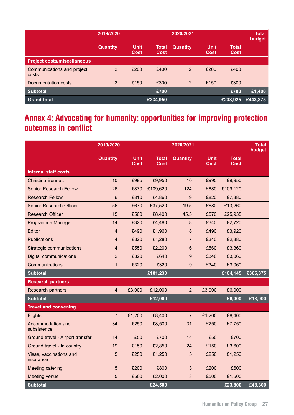|                                     | 2019/2020       |                            |                      | 2020/2021       |                            |                             | <b>Total</b><br>budget |
|-------------------------------------|-----------------|----------------------------|----------------------|-----------------|----------------------------|-----------------------------|------------------------|
|                                     | <b>Quantity</b> | <b>Unit</b><br><b>Cost</b> | Total<br><b>Cost</b> | <b>Quantity</b> | <b>Unit</b><br><b>Cost</b> | <b>Total</b><br><b>Cost</b> |                        |
| <b>Project costs/miscellaneous</b>  |                 |                            |                      |                 |                            |                             |                        |
| Communications and project<br>costs | 2               | £200                       | £400                 | $\overline{2}$  | £200                       | £400                        |                        |
| Documentation costs                 | $\overline{2}$  | £150                       | £300                 | 2               | £150                       | £300                        |                        |
| <b>Subtotal</b>                     |                 |                            | £700                 |                 |                            | £700                        | £1,400                 |
| <b>Grand total</b>                  |                 |                            | £234,950             |                 |                            | £208,925                    | £443,875               |

# Annex 4: Advocating for humanity: opportunities for improving protection outcomes in conflict

|                                      | 2019/2020      |                     |                      | 2020/2021        |                     |                      | <b>Total</b><br>budget |
|--------------------------------------|----------------|---------------------|----------------------|------------------|---------------------|----------------------|------------------------|
|                                      | Quantity       | <b>Unit</b><br>Cost | <b>Total</b><br>Cost | <b>Quantity</b>  | <b>Unit</b><br>Cost | <b>Total</b><br>Cost |                        |
| <b>Internal staff costs</b>          |                |                     |                      |                  |                     |                      |                        |
| <b>Christina Bennett</b>             | 10             | £995                | £9,950               | 10               | £995                | £9,950               |                        |
| <b>Senior Research Fellow</b>        | 126            | £870                | £109,620             | 124              | £880                | £109,120             |                        |
| <b>Research Fellow</b>               | 6              | £810                | £4,860               | 9                | £820                | £7,380               |                        |
| <b>Senior Research Officer</b>       | 56             | £670                | £37,520              | 19.5             | £680                | £13,260              |                        |
| <b>Research Officer</b>              | 15             | £560                | £8,400               | 45.5             | £570                | £25,935              |                        |
| Programme Manager                    | 14             | £320                | £4,480               | 8                | £340                | £2,720               |                        |
| Editor                               | $\overline{4}$ | £490                | £1,960               | 8                | £490                | £3,920               |                        |
| <b>Publications</b>                  | $\overline{4}$ | £320                | £1,280               | $\overline{7}$   | £340                | £2,380               |                        |
| Strategic communications             | $\overline{4}$ | £550                | £2,200               | 6                | £560                | £3,360               |                        |
| <b>Digital communications</b>        | $\overline{2}$ | £320                | £640                 | $\boldsymbol{9}$ | £340                | £3,060               |                        |
| Communications                       | $\mathbf{1}$   | £320                | £320                 | 9                | £340                | £3,060               |                        |
| <b>Subtotal</b>                      |                |                     | £181,230             |                  |                     | £184,145             | £365,375               |
| <b>Research partners</b>             |                |                     |                      |                  |                     |                      |                        |
| <b>Research partners</b>             | $\overline{4}$ | £3,000              | £12,000              | $\overline{2}$   | £3,000              | £6,000               |                        |
| <b>Subtotal</b>                      |                |                     | £12,000              |                  |                     | £6,000               | £18,000                |
| <b>Travel and convening</b>          |                |                     |                      |                  |                     |                      |                        |
| <b>Flights</b>                       | $\overline{7}$ | £1,200              | £8,400               | $\overline{7}$   | £1,200              | £8,400               |                        |
| Accommodation and<br>subsistence     | 34             | £250                | £8,500               | 31               | £250                | £7,750               |                        |
| Ground travel - Airport transfer     | 14             | £50                 | £700                 | 14               | £50                 | £700                 |                        |
| Ground travel - In country           | 19             | £150                | £2,850               | 24               | £150                | £3,600               |                        |
| Visas, vaccinations and<br>insurance | $\overline{5}$ | £250                | £1,250               | 5                | £250                | £1,250               |                        |
| <b>Meeting catering</b>              | 5              | £200                | £800                 | 3                | £200                | £600                 |                        |
| <b>Meeting venue</b>                 | 5              | £500                | £2,000               | 3                | £500                | £1,500               |                        |
| <b>Subtotal</b>                      |                |                     | £24,500              |                  |                     | £23,800              | £48,300                |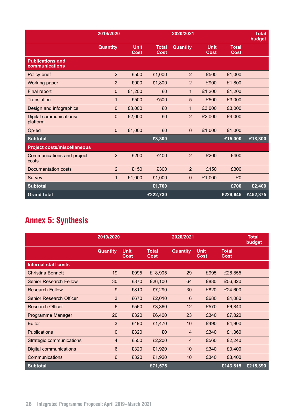|                                           | 2019/2020       |                            |                             | 2020/2021       |                            |                             | <b>Total</b><br>budget |
|-------------------------------------------|-----------------|----------------------------|-----------------------------|-----------------|----------------------------|-----------------------------|------------------------|
|                                           | <b>Quantity</b> | <b>Unit</b><br><b>Cost</b> | <b>Total</b><br><b>Cost</b> | <b>Quantity</b> | <b>Unit</b><br><b>Cost</b> | <b>Total</b><br><b>Cost</b> |                        |
| <b>Publications and</b><br>communications |                 |                            |                             |                 |                            |                             |                        |
| Policy brief                              | $\overline{2}$  | £500                       | £1,000                      | $\overline{2}$  | £500                       | £1,000                      |                        |
| Working paper                             | $\overline{2}$  | £900                       | £1,800                      | $\overline{2}$  | £900                       | £1,800                      |                        |
| Final report                              | $\mathbf{0}$    | £1,200                     | £0                          | $\mathbf 1$     | £1,200                     | £1,200                      |                        |
| <b>Translation</b>                        | 1               | £500                       | £500                        | 5               | £500                       | £3,000                      |                        |
| Design and infographics                   | $\Omega$        | £3,000                     | £0                          | $\mathbf{1}$    | £3,000                     | £3,000                      |                        |
| Digital communications/<br>platform       | 0               | £2,000                     | £0                          | $\overline{2}$  | £2,000                     | £4,000                      |                        |
| Op-ed                                     | $\mathbf{0}$    | £1,000                     | £0                          | $\Omega$        | £1,000                     | £1,000                      |                        |
| <b>Subtotal</b>                           |                 |                            | £3,300                      |                 |                            | £15,000                     | £18,300                |
| <b>Project costs/miscellaneous</b>        |                 |                            |                             |                 |                            |                             |                        |
| Communications and project<br>costs       | $\overline{2}$  | £200                       | £400                        | $\overline{2}$  | £200                       | £400                        |                        |
| Documentation costs                       | $\overline{2}$  | £150                       | £300                        | $\overline{2}$  | £150                       | £300                        |                        |
| Survey                                    | 1               | £1,000                     | £1,000                      | 0               | £1,000                     | £0                          |                        |
| <b>Subtotal</b>                           |                 |                            | £1,700                      |                 |                            | £700                        | £2,400                 |
| <b>Grand total</b>                        |                 |                            | £222,730                    |                 |                            | £229,645                    | £452,375               |

# Annex 5: Synthesis

|                                | 2019/2020       |                            |                      | 2020/2021       |                            |                      | <b>Total</b><br>budget |
|--------------------------------|-----------------|----------------------------|----------------------|-----------------|----------------------------|----------------------|------------------------|
|                                | <b>Quantity</b> | <b>Unit</b><br><b>Cost</b> | <b>Total</b><br>Cost | <b>Quantity</b> | <b>Unit</b><br><b>Cost</b> | <b>Total</b><br>Cost |                        |
| Internal staff costs           |                 |                            |                      |                 |                            |                      |                        |
| <b>Christina Bennett</b>       | 19              | £995                       | £18,905              | 29              | £995                       | £28,855              |                        |
| <b>Senior Research Fellow</b>  | 30              | £870                       | £26,100              | 64              | £880                       | £56,320              |                        |
| <b>Research Fellow</b>         | 9               | £810                       | £7,290               | 30              | £820                       | £24,600              |                        |
| <b>Senior Research Officer</b> | 3               | £670                       | £2,010               | 6               | £680                       | £4,080               |                        |
| <b>Research Officer</b>        | 6               | £560                       | £3,360               | 12              | £570                       | £6,840               |                        |
| Programme Manager              | 20              | £320                       | £6,400               | 23              | £340                       | £7,820               |                        |
| Editor                         | 3               | £490                       | £1,470               | 10              | £490                       | £4,900               |                        |
| <b>Publications</b>            | $\Omega$        | £320                       | £0                   | $\overline{4}$  | £340                       | £1,360               |                        |
| Strategic communications       | 4               | £550                       | £2,200               | 4               | £560                       | £2,240               |                        |
| <b>Digital communications</b>  | 6               | £320                       | £1,920               | 10              | £340                       | £3,400               |                        |
| Communications                 | 6               | £320                       | £1,920               | 10              | £340                       | £3,400               |                        |
| <b>Subtotal</b>                |                 |                            | £71,575              |                 |                            | £143,815             | £215,390               |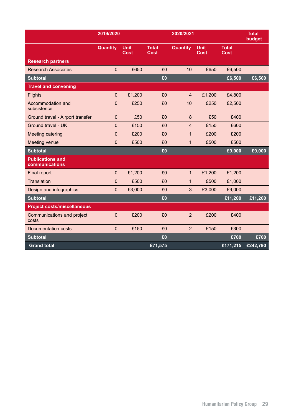|                                           | 2019/2020       |                     |                             | 2020/2021       |              |                             | <b>Total</b><br>budget |
|-------------------------------------------|-----------------|---------------------|-----------------------------|-----------------|--------------|-----------------------------|------------------------|
|                                           | <b>Quantity</b> | <b>Unit</b><br>Cost | <b>Total</b><br><b>Cost</b> | <b>Quantity</b> | Unit<br>Cost | <b>Total</b><br><b>Cost</b> |                        |
| <b>Research partners</b>                  |                 |                     |                             |                 |              |                             |                        |
| <b>Research Associates</b>                | $\overline{0}$  | £650                | £0                          | 10              | £650         | £6,500                      |                        |
| <b>Subtotal</b>                           |                 |                     | £0                          |                 |              | £6,500                      | £6,500                 |
| <b>Travel and convening</b>               |                 |                     |                             |                 |              |                             |                        |
| Flights                                   | $\pmb{0}$       | £1,200              | £0                          | $\overline{4}$  | £1,200       | £4,800                      |                        |
| Accommodation and<br>subsistence          | $\Omega$        | £250                | £0                          | 10              | £250         | £2,500                      |                        |
| Ground travel - Airport transfer          | $\mathbf 0$     | £50                 | £0                          | 8               | £50          | £400                        |                        |
| Ground travel - UK                        | $\mathbf 0$     | £150                | £0                          | $\overline{4}$  | £150         | £600                        |                        |
| Meeting catering                          | $\mathbf 0$     | £200                | £0                          | $\mathbf{1}$    | £200         | £200                        |                        |
| <b>Meeting venue</b>                      | $\overline{0}$  | £500                | £0                          | $\mathbf{1}$    | £500         | £500                        |                        |
| <b>Subtotal</b>                           |                 |                     | £0                          |                 |              | £9,000                      | £9,000                 |
| <b>Publications and</b><br>communications |                 |                     |                             |                 |              |                             |                        |
| Final report                              | $\bf 0$         | £1,200              | £0                          | $\mathbf{1}$    | £1,200       | £1,200                      |                        |
| Translation                               | $\mathbf 0$     | £500                | £0                          | $\mathbf{1}$    | £500         | £1,000                      |                        |
| Design and infographics                   | $\mathbf 0$     | £3,000              | £0                          | 3               | £3,000       | £9,000                      |                        |
| <b>Subtotal</b>                           |                 |                     | £0                          |                 |              | £11,200                     | £11,200                |
| <b>Project costs/miscellaneous</b>        |                 |                     |                             |                 |              |                             |                        |
| Communications and project<br>costs       | $\mathbf 0$     | £200                | £0                          | $\overline{2}$  | £200         | £400                        |                        |
| <b>Documentation costs</b>                | $\mathbf 0$     | £150                | £0                          | $\overline{2}$  | £150         | £300                        |                        |
| <b>Subtotal</b>                           |                 |                     | £0                          |                 |              | £700                        | £700                   |
| <b>Grand total</b>                        |                 |                     | £71,575                     |                 |              | £171,215                    | £242,790               |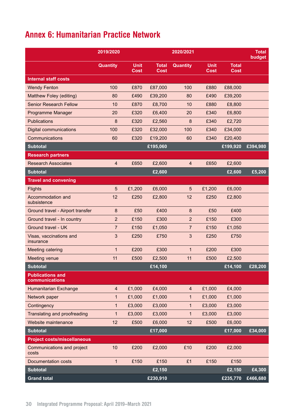# Annex 6: Humanitarian Practice Network

|                                           | 2019/2020       |                            |                             | 2020/2021       |                            |                             | <b>Total</b><br>budget |
|-------------------------------------------|-----------------|----------------------------|-----------------------------|-----------------|----------------------------|-----------------------------|------------------------|
|                                           | <b>Quantity</b> | <b>Unit</b><br><b>Cost</b> | <b>Total</b><br><b>Cost</b> | <b>Quantity</b> | <b>Unit</b><br><b>Cost</b> | <b>Total</b><br><b>Cost</b> |                        |
| <b>Internal staff costs</b>               |                 |                            |                             |                 |                            |                             |                        |
| <b>Wendy Fenton</b>                       | 100             | £870                       | £87,000                     | 100             | £880                       | £88,000                     |                        |
| Matthew Foley (editing)                   | 80              | £490                       | £39,200                     | 80              | £490                       | £39,200                     |                        |
| <b>Senior Research Fellow</b>             | 10              | £870                       | £8,700                      | 10              | £880                       | £8,800                      |                        |
| Programme Manager                         | 20              | £320                       | £6,400                      | 20              | £340                       | £6,800                      |                        |
| <b>Publications</b>                       | 8               | £320                       | £2,560                      | 8               | £340                       | £2,720                      |                        |
| <b>Digital communications</b>             | 100             | £320                       | £32,000                     | 100             | £340                       | £34,000                     |                        |
| Communications                            | 60              | £320                       | £19,200                     | 60              | £340                       | £20,400                     |                        |
| <b>Subtotal</b>                           |                 |                            | £195,060                    |                 |                            | £199,920                    | £394,980               |
| <b>Research partners</b>                  |                 |                            |                             |                 |                            |                             |                        |
| <b>Research Associates</b>                | $\overline{4}$  | £650                       | £2,600                      | $\overline{4}$  | £650                       | £2,600                      |                        |
| <b>Subtotal</b>                           |                 |                            | £2,600                      |                 |                            | £2,600                      | £5,200                 |
| <b>Travel and convening</b>               |                 |                            |                             |                 |                            |                             |                        |
| <b>Flights</b>                            | 5               | £1,200                     | £6,000                      | $\overline{5}$  | £1,200                     | £6,000                      |                        |
| Accommodation and<br>subsistence          | 12              | £250                       | £2,800                      | 12              | £250                       | £2,800                      |                        |
| Ground travel - Airport transfer          | $\bf 8$         | £50                        | £400                        | $\bf 8$         | £50                        | £400                        |                        |
| Ground travel - In country                | $\overline{2}$  | £150                       | £300                        | $\overline{2}$  | £150                       | £300                        |                        |
| Ground travel - UK                        | 7               | £150                       | £1,050                      | $\overline{7}$  | £150                       | £1,050                      |                        |
| Visas, vaccinations and<br>insurance      | 3               | £250                       | £750                        | 3               | £250                       | £750                        |                        |
| <b>Meeting catering</b>                   | $\mathbf{1}$    | £200                       | £300                        | $\mathbf{1}$    | £200                       | £300                        |                        |
| Meeting venue                             | 11              | £500                       | £2,500                      | 11              | £500                       | £2,500                      |                        |
| <b>Subtotal</b>                           |                 |                            | £14,100                     |                 |                            | £14,100                     | £28,200                |
| <b>Publications and</b><br>communications |                 |                            |                             |                 |                            |                             |                        |
| <b>Humanitarian Exchange</b>              | $\overline{4}$  | £1,000                     | £4,000                      | $\overline{4}$  | £1,000                     | £4,000                      |                        |
| Network paper                             | 1               | £1,000                     | £1,000                      | $\mathbf{1}$    | £1,000                     | £1,000                      |                        |
| Contingency                               | 1               | £3,000                     | £3,000                      | $\mathbf{1}$    | £3,000                     | £3,000                      |                        |
| Translating and proofreading              | 1               | £3,000                     | £3,000                      | $\mathbf{1}$    | £3,000                     | £3,000                      |                        |
| Website maintenance                       | 12              | £500                       | £6,000                      | 12              | £500                       | £6,000                      |                        |
| <b>Subtotal</b>                           |                 |                            | £17,000                     |                 |                            | £17,000                     | £34,000                |
| <b>Project costs/miscellaneous</b>        |                 |                            |                             |                 |                            |                             |                        |
| Communications and project<br>costs       | 10              | £200                       | £2,000                      | £10             | £200                       | £2,000                      |                        |
| <b>Documentation costs</b>                | $\mathbf{1}$    | £150                       | £150                        | £1              | £150                       | £150                        |                        |
| <b>Subtotal</b>                           |                 |                            | £2,150                      |                 |                            | £2,150                      | £4,300                 |
| <b>Grand total</b>                        |                 |                            | £230,910                    |                 |                            | £235,770                    | £466,680               |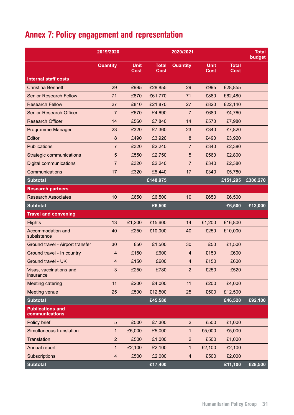# Annex 7: Policy engagement and representation

|                                           | 2019/2020       |                            |                             | 2020/2021       |                            |                             | <b>Total</b><br>budget |
|-------------------------------------------|-----------------|----------------------------|-----------------------------|-----------------|----------------------------|-----------------------------|------------------------|
|                                           | <b>Quantity</b> | <b>Unit</b><br><b>Cost</b> | <b>Total</b><br><b>Cost</b> | <b>Quantity</b> | <b>Unit</b><br><b>Cost</b> | <b>Total</b><br><b>Cost</b> |                        |
| <b>Internal staff costs</b>               |                 |                            |                             |                 |                            |                             |                        |
| <b>Christina Bennett</b>                  | 29              | £995                       | £28,855                     | 29              | £995                       | £28,855                     |                        |
| <b>Senior Research Fellow</b>             | 71              | £870                       | £61,770                     | 71              | £880                       | £62,480                     |                        |
| <b>Research Fellow</b>                    | 27              | £810                       | £21,870                     | 27              | £820                       | £22,140                     |                        |
| <b>Senior Research Officer</b>            | $\overline{7}$  | £670                       | £4,690                      | $\overline{7}$  | £680                       | £4,760                      |                        |
| <b>Research Officer</b>                   | 14              | £560                       | £7,840                      | 14              | £570                       | £7,980                      |                        |
| Programme Manager                         | 23              | £320                       | £7,360                      | 23              | £340                       | £7,820                      |                        |
| Editor                                    | 8               | £490                       | £3,920                      | 8               | £490                       | £3,920                      |                        |
| <b>Publications</b>                       | $\overline{7}$  | £320                       | £2,240                      | $\overline{7}$  | £340                       | £2,380                      |                        |
| Strategic communications                  | 5               | £550                       | £2,750                      | $\overline{5}$  | £560                       | £2,800                      |                        |
| <b>Digital communications</b>             | $\overline{7}$  | £320                       | £2,240                      | $\overline{7}$  | £340                       | £2,380                      |                        |
| Communications                            | 17              | £320                       | £5,440                      | 17              | £340                       | £5,780                      |                        |
| <b>Subtotal</b>                           |                 |                            | £148,975                    |                 |                            | £151,295                    | £300,270               |
| <b>Research partners</b>                  |                 |                            |                             |                 |                            |                             |                        |
| <b>Research Associates</b>                | 10              | £650                       | £6,500                      | 10              | £650                       | £6,500                      |                        |
| <b>Subtotal</b>                           |                 |                            | £6,500                      |                 |                            | £6,500                      | £13,000                |
| <b>Travel and convening</b>               |                 |                            |                             |                 |                            |                             |                        |
| <b>Flights</b>                            | 13              | £1,200                     | £15,600                     | 14              | £1,200                     | £16,800                     |                        |
| Accommodation and<br>subsistence          | 40              | £250                       | £10,000                     | 40              | £250                       | £10,000                     |                        |
| Ground travel - Airport transfer          | 30              | £50                        | £1,500                      | 30              | £50                        | £1,500                      |                        |
| Ground travel - In country                | $\overline{4}$  | £150                       | £600                        | 4               | £150                       | £600                        |                        |
| Ground travel - UK                        | $\overline{4}$  | £150                       | £600                        | $\overline{4}$  | £150                       | £600                        |                        |
| Visas, vaccinations and<br>insurance      | 3               | £250                       | £780                        | $\overline{2}$  | £250                       | £520                        |                        |
| <b>Meeting catering</b>                   | 11              | £200                       | £4,000                      | 11              | £200                       | £4,000                      |                        |
| <b>Meeting venue</b>                      | 25              | £500                       | £12,500                     | 25              | £500                       | £12,500                     |                        |
| <b>Subtotal</b>                           |                 |                            | £45,580                     |                 |                            | £46,520                     | £92,100                |
| <b>Publications and</b><br>communications |                 |                            |                             |                 |                            |                             |                        |
| Policy brief                              | $5\phantom{.0}$ | £500                       | £7,300                      | $\overline{2}$  | £500                       | £1,000                      |                        |
| Simultaneous translation                  | 1               | £5,000                     | £5,000                      | $\mathbf{1}$    | £5,000                     | £5,000                      |                        |
| Translation                               | $\overline{2}$  | £500                       | £1,000                      | $\overline{2}$  | £500                       | £1,000                      |                        |
| Annual report                             | 1               | £2,100                     | £2,100                      | $\mathbf{1}$    | £2,100                     | £2,100                      |                        |
| Subscriptions                             | $\overline{4}$  | £500                       | £2,000                      | $\overline{4}$  | £500                       | £2,000                      |                        |
| <b>Subtotal</b>                           |                 |                            | £17,400                     |                 |                            | £11,100                     | £28,500                |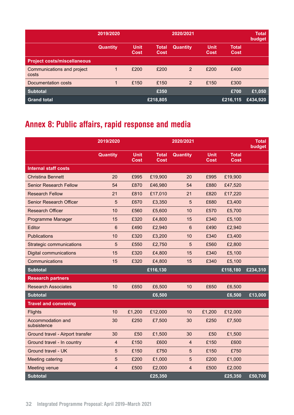|                                     | 2019/2020       |                            |                      | 2020/2021       |                            |                      | <b>Total</b><br>budget |
|-------------------------------------|-----------------|----------------------------|----------------------|-----------------|----------------------------|----------------------|------------------------|
|                                     | <b>Quantity</b> | <b>Unit</b><br><b>Cost</b> | Total<br><b>Cost</b> | <b>Quantity</b> | <b>Unit</b><br><b>Cost</b> | Total<br><b>Cost</b> |                        |
| <b>Project costs/miscellaneous</b>  |                 |                            |                      |                 |                            |                      |                        |
| Communications and project<br>costs |                 | £200                       | £200                 | 2               | £200                       | £400                 |                        |
| Documentation costs                 |                 | £150                       | £150                 | 2               | £150                       | £300                 |                        |
| <b>Subtotal</b>                     |                 |                            | £350                 |                 |                            | £700                 | £1,050                 |
| <b>Grand total</b>                  |                 |                            | £218,805             |                 |                            | £216,115             | £434,920               |

# Annex 8: Public affairs, rapid response and media

|                                  | 2019/2020       |                     |                      | 2020/2021               |                            |                             | <b>Total</b><br>budget |
|----------------------------------|-----------------|---------------------|----------------------|-------------------------|----------------------------|-----------------------------|------------------------|
|                                  | <b>Quantity</b> | <b>Unit</b><br>Cost | Total<br><b>Cost</b> | <b>Quantity</b>         | <b>Unit</b><br><b>Cost</b> | <b>Total</b><br><b>Cost</b> |                        |
| <b>Internal staff costs</b>      |                 |                     |                      |                         |                            |                             |                        |
| <b>Christina Bennett</b>         | 20              | £995                | £19,900              | 20                      | £995                       | £19,900                     |                        |
| <b>Senior Research Fellow</b>    | 54              | £870                | £46,980              | 54                      | £880                       | £47,520                     |                        |
| <b>Research Fellow</b>           | 21              | £810                | £17,010              | 21                      | £820                       | £17,220                     |                        |
| Senior Research Officer          | 5               | £670                | £3,350               | 5                       | £680                       | £3,400                      |                        |
| <b>Research Officer</b>          | 10              | £560                | £5,600               | 10                      | £570                       | £5,700                      |                        |
| Programme Manager                | 15              | £320                | £4,800               | 15                      | £340                       | £5,100                      |                        |
| Editor                           | 6               | £490                | £2,940               | 6                       | £490                       | £2,940                      |                        |
| <b>Publications</b>              | 10              | £320                | £3,200               | 10                      | £340                       | £3,400                      |                        |
| Strategic communications         | 5               | £550                | £2,750               | 5                       | £560                       | £2,800                      |                        |
| <b>Digital communications</b>    | 15              | £320                | £4,800               | 15                      | £340                       | £5,100                      |                        |
| Communications                   | 15              | £320                | £4,800               | 15                      | £340                       | £5,100                      |                        |
| <b>Subtotal</b>                  |                 |                     | £116,130             |                         |                            | £118,180                    | £234,310               |
| <b>Research partners</b>         |                 |                     |                      |                         |                            |                             |                        |
| <b>Research Associates</b>       | 10              | £650                | £6,500               | 10                      | £650                       | £6,500                      |                        |
| <b>Subtotal</b>                  |                 |                     | £6,500               |                         |                            | £6,500                      | £13,000                |
| <b>Travel and convening</b>      |                 |                     |                      |                         |                            |                             |                        |
| <b>Flights</b>                   | 10              | £1,200              | £12,000              | 10                      | £1,200                     | £12,000                     |                        |
| Accommodation and<br>subsistence | 30              | £250                | £7,500               | 30                      | £250                       | £7,500                      |                        |
| Ground travel - Airport transfer | 30              | £50                 | £1,500               | 30                      | £50                        | £1,500                      |                        |
| Ground travel - In country       | $\overline{4}$  | £150                | £600                 | $\overline{4}$          | £150                       | £600                        |                        |
| Ground travel - UK               | 5               | £150                | £750                 | $\overline{5}$          | £150                       | £750                        |                        |
| <b>Meeting catering</b>          | 5               | £200                | £1,000               | $\overline{5}$          | £200                       | £1,000                      |                        |
| <b>Meeting venue</b>             | $\overline{4}$  | £500                | £2,000               | $\overline{\mathbf{4}}$ | £500                       | £2,000                      |                        |
| <b>Subtotal</b>                  |                 |                     | £25,350              |                         |                            | £25,350                     | £50,700                |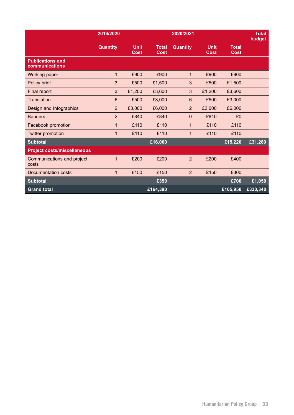|                                           | 2019/2020       |                            |                      | 2020/2021       |                            |                             | <b>Total</b><br>budget |
|-------------------------------------------|-----------------|----------------------------|----------------------|-----------------|----------------------------|-----------------------------|------------------------|
|                                           | <b>Quantity</b> | <b>Unit</b><br><b>Cost</b> | <b>Total</b><br>Cost | <b>Quantity</b> | <b>Unit</b><br><b>Cost</b> | <b>Total</b><br><b>Cost</b> |                        |
| <b>Publications and</b><br>communications |                 |                            |                      |                 |                            |                             |                        |
| Working paper                             | $\mathbf{1}$    | £900                       | £900                 | $\mathbf{1}$    | £900                       | £900                        |                        |
| Policy brief                              | 3               | £500                       | £1,500               | 3               | £500                       | £1,500                      |                        |
| Final report                              | 3               | £1,200                     | £3,600               | 3               | £1,200                     | £3,600                      |                        |
| Translation                               | $6\phantom{1}$  | £500                       | £3,000               | $6\phantom{1}$  | £500                       | £3,000                      |                        |
| Design and Infographics                   | $\overline{2}$  | £3,000                     | £6,000               | $\overline{2}$  | £3,000                     | £6,000                      |                        |
| <b>Banners</b>                            | $\overline{2}$  | £840                       | £840                 | $\mathbf{0}$    | £840                       | £0                          |                        |
| Facebook promotion                        | $\mathbf{1}$    | £110                       | £110                 | 1               | £110                       | £110                        |                        |
| <b>Twitter promotion</b>                  | 1               | £110                       | £110                 | 1               | £110                       | £110                        |                        |
| <b>Subtotal</b>                           |                 |                            | £16,060              |                 |                            | £15,220                     | £31,280                |
| <b>Project costs/miscellaneous</b>        |                 |                            |                      |                 |                            |                             |                        |
| Communications and project<br>costs       | 1               | £200                       | £200                 | $\overline{2}$  | £200                       | £400                        |                        |
| Documentation costs                       | 1               | £150                       | £150                 | $\overline{2}$  | £150                       | £300                        |                        |
| <b>Subtotal</b>                           |                 |                            | £350                 |                 |                            | £700                        | £1,050                 |
| <b>Grand total</b>                        |                 |                            | £164,390             |                 |                            | £165,950                    | £330,340               |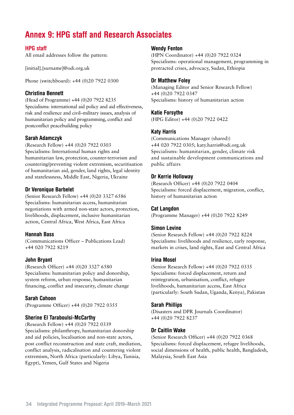# Annex 9: HPG staff and Research Associates

## HPG staff

All email addresses follow the pattern:

[initial].[surname]@odi.org.uk

Phone (switchboard): +44 (0)20 7922 0300

## Christina Bennett

(Head of Programme) +44 (0)20 7922 8235 Specialisms: international aid policy and aid effectiveness, risk and resilience and civil–military issues, analysis of humanitarian policy and programming, conflict and postconflict peacebuilding policy

## Sarah Adamczyk

(Research Fellow) +44 (0)20 7922 0303 Specialisms: International human rights and humanitarian law, protection, counter-terrorism and countering/preventing violent extremism, securitisation of humanitarian aid, gender, land rights, legal identity and statelessness, Middle East, Nigeria, Ukraine

## Dr Veronique Barbelet

(Senior Research Fellow) +44 (0)20 3327 6586 Specialisms: humanitarian access, humanitarian negotiations with armed non-state actors, protection, livelihoods, displacement, inclusive humanitarian action, Central Africa, West Africa, East Africa

## Hannah Bass

(Communications Officer – Publications Lead) +44 020 7922 8219

## John Bryant

(Research Officer) +44 (0)20 3327 6580 Specialisms: humanitarian policy and donorship, system reform, urban response, humanitarian financing, conflict and insecurity, climate change

## Sarah Cahoon

(Programme Officer) +44 (0)20 7922 0355

## Sherine El Taraboulsi-McCarthy

(Research Fellow) +44 (0)20 7922 0339 Specialisms: philanthropy, humanitarian donorship and aid policies, localisation and non-state actors, post conflict reconstruction and state craft, mediation, conflict analysis, radicalisation and countering violent extremism, North Africa (particularly: Libya, Tunisia, Egypt), Yemen, Gulf States and Nigeria

### Wendy Fenton

(HPN Coordinator) +44 (0)20 7922 0324 Specialisms: operational management, programming in protracted crises, advocacy, Sudan, Ethiopia

## Dr Matthew Foley

(Managing Editor and Senior Research Fellow) +44 (0)20 7922 0347 Specialisms: history of humanitarian action

## Katie Forsythe

(HPG Editor) +44 (0)20 7922 0422

## Katy Harris

(Communications Manager (shared)) +44 020 7922 0305; katy.harris@odi.org.uk Specialisms: humanitarian, gender, climate risk and sustainable development communications and public affairs

## Dr Kerrie Holloway

(Research Officer) +44 (0)20 7922 0404 Specialisms: forced displacement, migration, conflict, history of humanitarian action

## Cat Langdon

(Programme Manager) +44 (0)20 7922 8249

## Simon Levine

(Senior Research Fellow) +44 (0)20 7922 8224 Specialisms: livelihoods and resilience, early response, markets in crises, land rights, East and Central Africa

## Irina Mosel

(Senior Research Fellow) +44 (0)20 7922 0335 Specialisms: forced displacement, return and reintegration, urbanisation, conflict, refugee livelihoods, humanitarian access, East Africa (particularly: South Sudan, Uganda, Kenya), Pakistan

## Sarah Phillips

(Disasters and DPR Journals Coordinator) +44 (0)20 7922 8237

## Dr Caitlin Wake

(Senior Research Officer) +44 (0)20 7922 0368 Specialisms: forced displacement, refugee livelihoods, social dimensions of health, public health, Bangladesh, Malaysia, South East Asia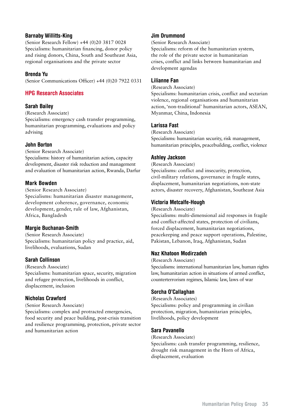### Barnaby Willitts-King

(Senior Research Fellow) +44 (0)20 3817 0028 Specialisms: humanitarian financing, donor policy and rising donors, China, South and Southeast Asia, regional organisations and the private sector

### Brenda Yu

(Senior Communications Officer) +44 (0)20 7922 0331

## HPG Research Associates

### Sarah Bailey

(Research Associate)

Specialisms: emergency cash transfer programming, humanitarian programming, evaluations and policy advising

### John Borton

(Senior Research Associate) Specialisms: history of humanitarian action, capacity development, disaster risk reduction and management and evaluation of humanitarian action, Rwanda, Darfur

## Mark Bowden

(Senior Research Associate)

Specialisms: humanitarian disaster management, development coherence, governance, economic development, gender, rule of law, Afghanistan, Africa, Bangladesh

## Margie Buchanan-Smith

(Senior Research Associate) Specialisms: humanitarian policy and practice, aid, livelihoods, evaluations, Sudan

#### Sarah Collinson

(Research Associate)

Specialisms: humanitarian space, security, migration and refugee protection, livelihoods in conflict, displacement, inclusion

## Nicholas Crawford

(Senior Research Associate)

Specialisms: complex and protracted emergencies, food security and peace building, post-crisis transition and resilience programming, protection, private sector and humanitarian action

### Jim Drummond

(Senior Research Associate)

Specialisms: reform of the humanitarian system, the role of the private sector in humanitarian crises, conflict and links between humanitarian and development agendas

#### Lilianne Fan

(Research Associate)

Specialisms: humanitarian crisis, conflict and sectarian violence, regional organisations and humanitarian action, 'non-traditional' humanitarian actors, ASEAN, Myanmar, China, Indonesia

### Larissa Fast

(Research Associate) Specialisms: humanitarian security, risk management, humanitarian principles, peacebuilding, conflict, violence

### Ashley Jackson

(Research Associate)

Specialisms: conflict and insecurity, protection, civil-military relations, governance in fragile states, displacement, humanitarian negotiations, non-state actors, disaster recovery, Afghanistan, Southeast Asia

### Victoria Metcalfe-Hough

(Research Associate)

Specialisms: multi-dimensional aid responses in fragile and conflict-affected states, protection of civilians, forced displacement, humanitarian negotiations, peacekeeping and peace support operations, Palestine, Pakistan, Lebanon, Iraq, Afghanistan, Sudan

## Naz Khatoon Modirzadeh

#### (Research Associate)

Specialisms: international humanitarian law, human rights law, humanitarian action in situations of armed conflict, counterterrorism regimes, Islamic law, laws of war

## Sorcha O'Callaghan

#### (Research Associates)

Specialisms: policy and programming in civilian protection, migration, humanitarian principles, livelihoods, policy development

#### Sara Pavanello

(Research Associate) Specialisms: cash transfer programming, resilience, drought risk management in the Horn of Africa, displacement, evaluation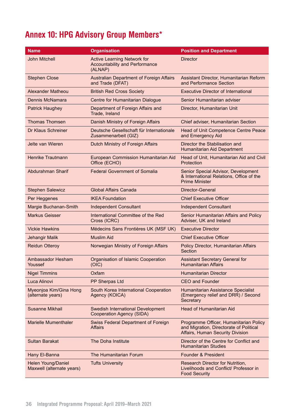# Annex 10: HPG Advisory Group Members\*

| <b>Name</b>                                            | <b>Organisation</b>                                                                    | <b>Position and Department</b>                                                                                        |  |  |
|--------------------------------------------------------|----------------------------------------------------------------------------------------|-----------------------------------------------------------------------------------------------------------------------|--|--|
| <b>John Mitchell</b>                                   | <b>Active Learning Network for</b><br><b>Accountability and Performance</b><br>(ALNAP) | <b>Director</b>                                                                                                       |  |  |
| <b>Stephen Close</b>                                   | <b>Australian Department of Foreign Affairs</b><br>and Trade (DFAT)                    | Assistant Director, Humanitarian Reform<br>and Performance Section                                                    |  |  |
| <b>Alexander Matheou</b>                               | <b>British Red Cross Society</b>                                                       | <b>Executive Director of International</b>                                                                            |  |  |
| Dennis McNamara                                        | Centre for Humanitarian Dialogue                                                       | Senior Humanitarian adviser                                                                                           |  |  |
| <b>Patrick Haughey</b>                                 | Department of Foreign Affairs and<br>Trade, Ireland                                    | Director, Humanitarian Unit                                                                                           |  |  |
| <b>Thomas Thomsen</b>                                  | Danish Ministry of Foreign Affairs                                                     | Chief adviser, Humanitarian Section                                                                                   |  |  |
| <b>Dr Klaus Schreiner</b>                              | Deutsche Gesellschaft für Internationale<br>Zusammenarbeit (GIZ)                       | Head of Unit Competence Centre Peace<br>and Emergency Aid                                                             |  |  |
| Jelte van Wieren                                       | Dutch Ministry of Foreign Affairs                                                      | Director the Stabilisation and<br><b>Humanitarian Aid Department</b>                                                  |  |  |
| <b>Henrike Trautmann</b>                               | European Commission Humanitarian Aid<br>Office (ECHO)                                  | Head of Unit, Humanitarian Aid and Civil<br>Protection                                                                |  |  |
| Abdurahman Sharif                                      | <b>Federal Government of Somalia</b>                                                   | Senior Special Advisor, Development<br>& International Relations, Office of the<br><b>Prime Minister</b>              |  |  |
| <b>Stephen Salewicz</b>                                | <b>Global Affairs Canada</b>                                                           | Director-General                                                                                                      |  |  |
| Per Heggenes                                           | <b>IKEA Foundation</b>                                                                 | <b>Chief Executive Officer</b>                                                                                        |  |  |
| Margie Buchanan-Smith                                  | <b>Independent Consultant</b>                                                          | <b>Independent Consultant</b>                                                                                         |  |  |
| <b>Markus Geisser</b>                                  | International Committee of the Red<br>Cross (ICRC)                                     | Senior Humanitarian Affairs and Policy<br>Adviser, UK and Ireland                                                     |  |  |
| <b>Vickie Hawkins</b>                                  | Médecins Sans Frontières UK (MSF UK)                                                   | <b>Executive Director</b>                                                                                             |  |  |
| <b>Jehangir Malik</b>                                  | <b>Muslim Aid</b>                                                                      | <b>Chief Executive Officer</b>                                                                                        |  |  |
| <b>Reidun Otteroy</b>                                  | Norwegian Ministry of Foreign Affairs                                                  | Policy Director, Humanitarian Affairs<br>Section                                                                      |  |  |
| Ambassador Hesham<br>Youssef                           | Organisation of Islamic Cooperation<br>(OIC)                                           | <b>Assistant Secretary General for</b><br><b>Humanitarian Affairs</b>                                                 |  |  |
| <b>Nigel Timmins</b>                                   | Oxfam                                                                                  | <b>Humanitarian Director</b>                                                                                          |  |  |
| Luca Alinovi                                           | PP Sherpas Ltd                                                                         | <b>CEO and Founder</b>                                                                                                |  |  |
| Myeonjoa Kim/Gina Hong<br>(alternate years)            | South Korea International Cooperation<br>Agency (KOICA)                                | Humanitarian Assistance Specialist<br>(Emergency relief and DRR) / Second<br>Secretary                                |  |  |
| <b>Susanne Mikhail</b>                                 | <b>Swedish International Development</b><br><b>Cooperation Agency (SIDA)</b>           | <b>Head of Humanitarian Aid</b>                                                                                       |  |  |
| <b>Marielle Mumenthaler</b>                            | <b>Swiss Federal Department of Foreign</b><br><b>Affairs</b>                           | Programme Officer, Humanitarian Policy<br>and Migration, Directorate of Political<br>Affairs, Human Security Division |  |  |
| <b>Sultan Barakat</b>                                  | The Doha Institute                                                                     | Director of the Centre for Conflict and<br><b>Humanitarian Studies</b>                                                |  |  |
| Hany El-Banna                                          | The Humanitarian Forum                                                                 | <b>Founder &amp; President</b>                                                                                        |  |  |
| <b>Helen Young/Daniel</b><br>Maxwell (alternate years) | <b>Tufts University</b>                                                                | Research Director for Nutrition,<br>Livelihoods and Conflict/ Professor in<br><b>Food Security</b>                    |  |  |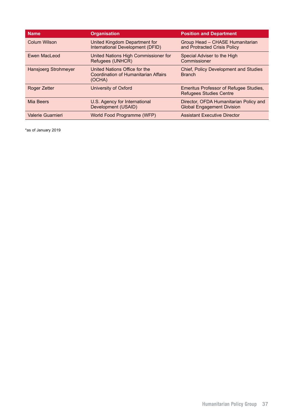| <b>Name</b>                 | <b>Organisation</b>                                                             | <b>Position and Department</b>                                              |
|-----------------------------|---------------------------------------------------------------------------------|-----------------------------------------------------------------------------|
| <b>Colum Wilson</b>         | United Kingdom Department for<br>International Development (DFID)               | Group Head - CHASE Humanitarian<br>and Protracted Crisis Policy             |
| Ewen MacLeod                | United Nations High Commissioner for<br>Refugees (UNHCR)                        | Special Adviser to the High<br>Commissioner                                 |
| <b>Hansjoerg Strohmeyer</b> | United Nations Office for the<br>Coordination of Humanitarian Affairs<br>(OCHA) | <b>Chief, Policy Development and Studies</b><br><b>Branch</b>               |
| Roger Zetter                | <b>University of Oxford</b>                                                     | Emeritus Professor of Refugee Studies,<br><b>Refugees Studies Centre</b>    |
| Mia Beers                   | U.S. Agency for International<br>Development (USAID)                            | Director, OFDA Humanitarian Policy and<br><b>Global Engagement Division</b> |
| Valerie Guarnieri           | World Food Programme (WFP)                                                      | <b>Assistant Executive Director</b>                                         |

\*as of January 2019